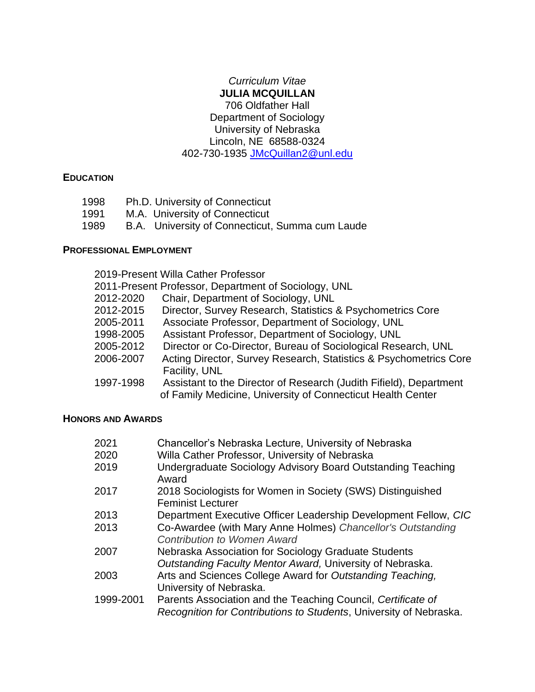## *Curriculum Vitae* **JULIA MCQUILLAN** 706 Oldfather Hall Department of Sociology University of Nebraska Lincoln, NE 68588-0324 402-730-1935 [JMcQuillan2@unl.edu](mailto:JMcQuillan2@unl.edu)

#### **EDUCATION**

- 1998 Ph.D. University of Connecticut
- 1991 M.A. University of Connecticut
- 1989 B.A. University of Connecticut, Summa cum Laude

## **PROFESSIONAL EMPLOYMENT**

|           | 2019-Present Willa Cather Professor                                                                                               |
|-----------|-----------------------------------------------------------------------------------------------------------------------------------|
|           | 2011-Present Professor, Department of Sociology, UNL                                                                              |
| 2012-2020 | Chair, Department of Sociology, UNL                                                                                               |
| 2012-2015 | Director, Survey Research, Statistics & Psychometrics Core                                                                        |
| 2005-2011 | Associate Professor, Department of Sociology, UNL                                                                                 |
| 1998-2005 | Assistant Professor, Department of Sociology, UNL                                                                                 |
| 2005-2012 | Director or Co-Director, Bureau of Sociological Research, UNL                                                                     |
| 2006-2007 | Acting Director, Survey Research, Statistics & Psychometrics Core<br>Facility, UNL                                                |
| 1997-1998 | Assistant to the Director of Research (Judith Fifield), Department<br>of Family Medicine, University of Connecticut Health Center |

# **HONORS AND AWARDS**

| 2021      | Chancellor's Nebraska Lecture, University of Nebraska                                             |
|-----------|---------------------------------------------------------------------------------------------------|
| 2020      | Willa Cather Professor, University of Nebraska                                                    |
| 2019      | Undergraduate Sociology Advisory Board Outstanding Teaching<br>Award                              |
| 2017      | 2018 Sociologists for Women in Society (SWS) Distinguished<br><b>Feminist Lecturer</b>            |
| 2013      | Department Executive Officer Leadership Development Fellow, CIC                                   |
| 2013      | Co-Awardee (with Mary Anne Holmes) Chancellor's Outstanding<br><b>Contribution to Women Award</b> |
| 2007      | Nebraska Association for Sociology Graduate Students                                              |
|           | Outstanding Faculty Mentor Award, University of Nebraska.                                         |
| 2003      | Arts and Sciences College Award for Outstanding Teaching,                                         |
|           | University of Nebraska.                                                                           |
| 1999-2001 | Parents Association and the Teaching Council, Certificate of                                      |
|           | Recognition for Contributions to Students, University of Nebraska.                                |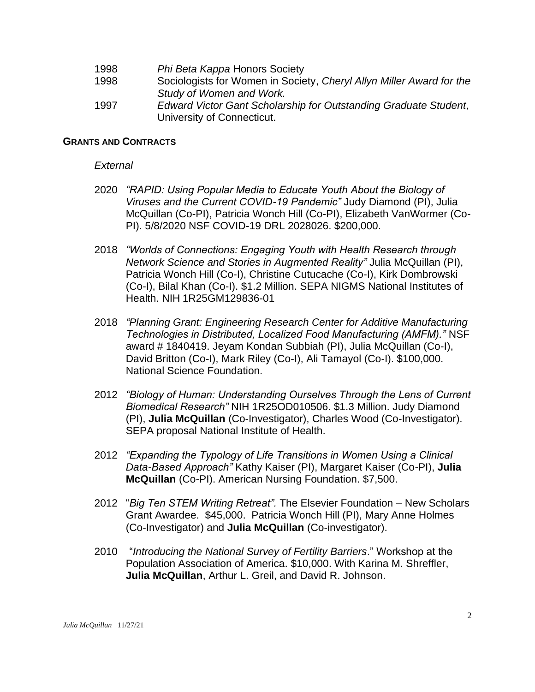- 1998 *Phi Beta Kappa* Honors Society
- 1998 Sociologists for Women in Society, *Cheryl Allyn Miller Award for the Study of Women and Work.*
- 1997 *Edward Victor Gant Scholarship for Outstanding Graduate Student*, University of Connecticut.

#### **GRANTS AND CONTRACTS**

#### *External*

- 2020 *"RAPID: Using Popular Media to Educate Youth About the Biology of Viruses and the Current COVID-19 Pandemic"* Judy Diamond (PI), Julia McQuillan (Co-PI), Patricia Wonch Hill (Co-PI), Elizabeth VanWormer (Co-PI). 5/8/2020 NSF COVID-19 DRL 2028026. \$200,000.
- 2018 *"Worlds of Connections: Engaging Youth with Health Research through Network Science and Stories in Augmented Reality"* Julia McQuillan (PI), Patricia Wonch Hill (Co-I), Christine Cutucache (Co-I), Kirk Dombrowski (Co-I), Bilal Khan (Co-I). \$1.2 Million. SEPA NIGMS National Institutes of Health. NIH 1R25GM129836-01
- 2018 *"Planning Grant: Engineering Research Center for Additive Manufacturing Technologies in Distributed, Localized Food Manufacturing (AMFM)."* NSF award # 1840419. Jeyam Kondan Subbiah (PI), Julia McQuillan (Co-I), David Britton (Co-I), Mark Riley (Co-I), Ali Tamayol (Co-I). \$100,000. National Science Foundation.
- 2012 *"Biology of Human: Understanding Ourselves Through the Lens of Current Biomedical Research"* NIH 1R25OD010506. \$1.3 Million. Judy Diamond (PI), **Julia McQuillan** (Co-Investigator), Charles Wood (Co-Investigator). SEPA proposal National Institute of Health.
- 2012 *"Expanding the Typology of Life Transitions in Women Using a Clinical Data-Based Approach"* Kathy Kaiser (PI), Margaret Kaiser (Co-PI), **Julia McQuillan** (Co-PI). American Nursing Foundation. \$7,500.
- 2012 "*Big Ten STEM Writing Retreat".* The Elsevier Foundation New Scholars Grant Awardee. \$45,000. Patricia Wonch Hill (PI), Mary Anne Holmes (Co-Investigator) and **Julia McQuillan** (Co-investigator).
- 2010 "*Introducing the National Survey of Fertility Barriers*." Workshop at the Population Association of America. \$10,000. With Karina M. Shreffler, **Julia McQuillan**, Arthur L. Greil, and David R. Johnson.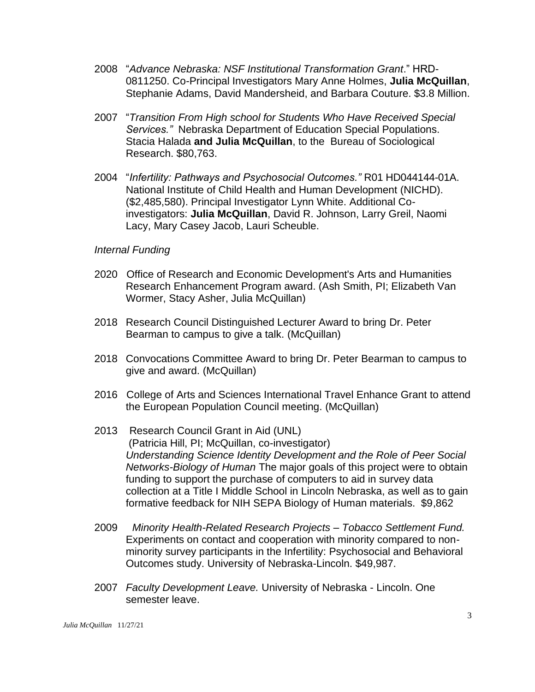- 2008 "*Advance Nebraska: NSF Institutional Transformation Grant*." HRD-0811250. Co-Principal Investigators Mary Anne Holmes, **Julia McQuillan**, Stephanie Adams, David Mandersheid, and Barbara Couture. \$3.8 Million.
- 2007 "*Transition From High school for Students Who Have Received Special Services."* Nebraska Department of Education Special Populations. Stacia Halada **and Julia McQuillan**, to the Bureau of Sociological Research. \$80,763.
- 2004 "*Infertility: Pathways and Psychosocial Outcomes."* R01 HD044144-01A. National Institute of Child Health and Human Development (NICHD). (\$2,485,580). Principal Investigator Lynn White. Additional Coinvestigators: **Julia McQuillan**, David R. Johnson, Larry Greil, Naomi Lacy, Mary Casey Jacob, Lauri Scheuble.

#### *Internal Funding*

- 2020 Office of Research and Economic Development's Arts and Humanities Research Enhancement Program award. (Ash Smith, PI; Elizabeth Van Wormer, Stacy Asher, Julia McQuillan)
- 2018 Research Council Distinguished Lecturer Award to bring Dr. Peter Bearman to campus to give a talk. (McQuillan)
- 2018 Convocations Committee Award to bring Dr. Peter Bearman to campus to give and award. (McQuillan)
- 2016 College of Arts and Sciences International Travel Enhance Grant to attend the European Population Council meeting. (McQuillan)
- 2013 Research Council Grant in Aid (UNL) (Patricia Hill, PI; McQuillan, co-investigator) *Understanding Science Identity Development and the Role of Peer Social Networks-Biology of Human* The major goals of this project were to obtain funding to support the purchase of computers to aid in survey data collection at a Title I Middle School in Lincoln Nebraska, as well as to gain formative feedback for NIH SEPA Biology of Human materials. \$9,862
- 2009 *Minority Health-Related Research Projects – Tobacco Settlement Fund.* Experiments on contact and cooperation with minority compared to nonminority survey participants in the Infertility: Psychosocial and Behavioral Outcomes study. University of Nebraska-Lincoln. \$49,987.
- 2007 *Faculty Development Leave.* University of Nebraska Lincoln. One semester leave.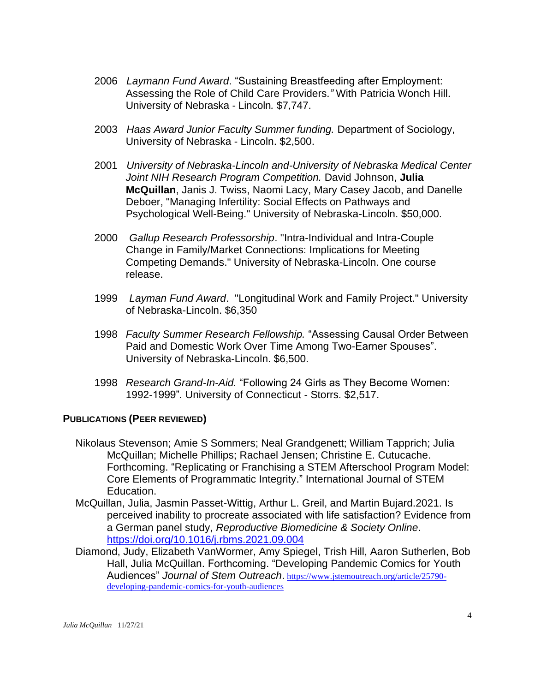- 2006 *Laymann Fund Award*. "Sustaining Breastfeeding after Employment: Assessing the Role of Child Care Providers*."* With Patricia Wonch Hill. University of Nebraska - Lincoln*.* \$7,747.
- 2003 *Haas Award Junior Faculty Summer funding.* Department of Sociology, University of Nebraska - Lincoln. \$2,500.
- 2001 *University of Nebraska-Lincoln and-University of Nebraska Medical Center Joint NIH Research Program Competition.* David Johnson, **Julia McQuillan**, Janis J. Twiss, Naomi Lacy, Mary Casey Jacob, and Danelle Deboer, "Managing Infertility: Social Effects on Pathways and Psychological Well-Being." University of Nebraska-Lincoln. \$50,000.
- 2000 *Gallup Research Professorship*. "Intra-Individual and Intra-Couple Change in Family/Market Connections: Implications for Meeting Competing Demands." University of Nebraska-Lincoln. One course release.
- 1999 *Layman Fund Award*. "Longitudinal Work and Family Project." University of Nebraska-Lincoln. \$6,350
- 1998 *Faculty Summer Research Fellowship.* "Assessing Causal Order Between Paid and Domestic Work Over Time Among Two-Earner Spouses". University of Nebraska-Lincoln. \$6,500.
- 1998 *Research Grand-In-Aid.* "Following 24 Girls as They Become Women: 1992-1999"*.* University of Connecticut - Storrs. \$2,517.

#### **PUBLICATIONS (PEER REVIEWED)**

- Nikolaus Stevenson; Amie S Sommers; Neal Grandgenett; William Tapprich; Julia McQuillan; Michelle Phillips; Rachael Jensen; Christine E. Cutucache. Forthcoming. "Replicating or Franchising a STEM Afterschool Program Model: Core Elements of Programmatic Integrity." International Journal of STEM Education.
- McQuillan, Julia, Jasmin Passet-Wittig, Arthur L. Greil, and Martin Bujard.2021. Is perceived inability to procreate associated with life satisfaction? Evidence from a German panel study, *Reproductive Biomedicine & Society Online*. <https://doi.org/10.1016/j.rbms.2021.09.004>
- Diamond, Judy, Elizabeth VanWormer, Amy Spiegel, Trish Hill, Aaron Sutherlen, Bob Hall, Julia McQuillan. Forthcoming. "Developing Pandemic Comics for Youth Audiences" *Journal of Stem Outreach*. [https://www.jstemoutreach.org/article/25790](https://www.jstemoutreach.org/article/25790-developing-pandemic-comics-for-youth-audiences) [developing-pandemic-comics-for-youth-audiences](https://www.jstemoutreach.org/article/25790-developing-pandemic-comics-for-youth-audiences)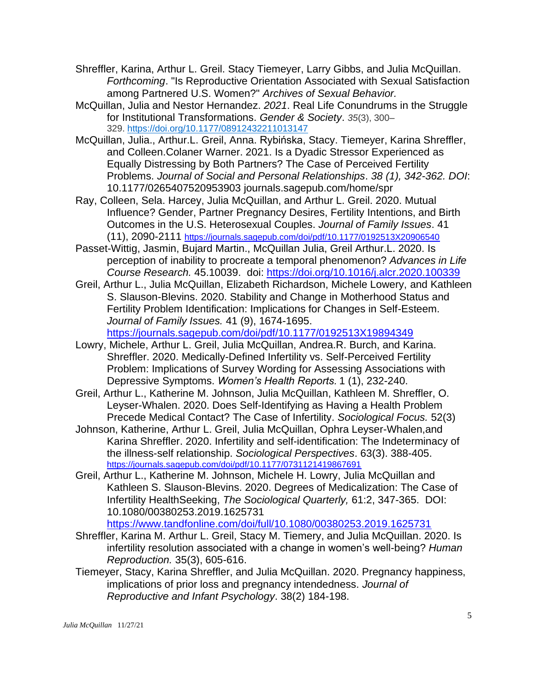- Shreffler, Karina, Arthur L. Greil. Stacy Tiemeyer, Larry Gibbs, and Julia McQuillan. *Forthcoming*. "Is Reproductive Orientation Associated with Sexual Satisfaction among Partnered U.S. Women?" *Archives of Sexual Behavior.*
- McQuillan, Julia and Nestor Hernandez. *2021*. Real Life Conundrums in the Struggle for Institutional Transformations. *Gender & Society*. *35*(3), 300– 329. <https://doi.org/10.1177/08912432211013147>
- McQuillan, Julia., Arthur.L. Greil, Anna. Rybińska, Stacy. Tiemeyer, Karina Shreffler, and Colleen.Colaner Warner. 2021. Is a Dyadic Stressor Experienced as Equally Distressing by Both Partners? The Case of Perceived Fertility Problems. *Journal of Social and Personal Relationships*. *38 (1), 342-362. DOI*: 10.1177/0265407520953903 journals.sagepub.com/home/spr
- Ray, Colleen, Sela. Harcey, Julia McQuillan, and Arthur L. Greil. 2020. Mutual Influence? Gender, Partner Pregnancy Desires, Fertility Intentions, and Birth Outcomes in the U.S. Heterosexual Couples. *Journal of Family Issues*. 41 (11), 2090-2111 <https://journals.sagepub.com/doi/pdf/10.1177/0192513X20906540>
- Passet-Wittig, Jasmin, Bujard Martin., McQuillan Julia, Greil Arthur.L. 2020. Is perception of inability to procreate a temporal phenomenon? *Advances in Life Course Research.* 45.10039. doi: <https://doi.org/10.1016/j.alcr.2020.100339>
- Greil, Arthur L., Julia McQuillan, Elizabeth Richardson, Michele Lowery, and Kathleen S. Slauson-Blevins. 2020. Stability and Change in Motherhood Status and Fertility Problem Identification: Implications for Changes in Self-Esteem. *Journal of Family Issues.* 41 (9), 1674-1695. <https://journals.sagepub.com/doi/pdf/10.1177/0192513X19894349>
- Lowry, Michele, Arthur L. Greil, Julia McQuillan, Andrea.R. Burch, and Karina. Shreffler. 2020. Medically-Defined Infertility vs. Self-Perceived Fertility Problem: Implications of Survey Wording for Assessing Associations with Depressive Symptoms. *Women's Health Reports.* 1 (1), 232-240.
- Greil, Arthur L., Katherine M. Johnson, Julia McQuillan, Kathleen M. Shreffler, O. Leyser-Whalen. 2020. Does Self-Identifying as Having a Health Problem Precede Medical Contact? The Case of Infertility. *Sociological Focus.* 52(3)
- Johnson, Katherine, Arthur L. Greil, Julia McQuillan, Ophra Leyser-Whalen,and Karina Shreffler. 2020. Infertility and self-identification: The Indeterminacy of the illness-self relationship. *Sociological Perspectives*. 63(3). 388-405. <https://journals.sagepub.com/doi/pdf/10.1177/0731121419867691>
- Greil, Arthur L., Katherine M. Johnson, Michele H. Lowry, Julia McQuillan and Kathleen S. Slauson-Blevins. 2020. Degrees of Medicalization: The Case of Infertility HealthSeeking, *The Sociological Quarterly,* 61:2, 347-365. DOI: 10.1080/00380253.2019.1625731

<https://www.tandfonline.com/doi/full/10.1080/00380253.2019.1625731>

- Shreffler, Karina M. Arthur L. Greil, Stacy M. Tiemery, and Julia McQuillan. 2020. Is infertility resolution associated with a change in women's well-being? *Human Reproduction.* 35(3), 605-616.
- Tiemeyer, Stacy, Karina Shreffler, and Julia McQuillan. 2020. Pregnancy happiness, implications of prior loss and pregnancy intendedness. *Journal of Reproductive and Infant Psychology*. 38(2) 184-198.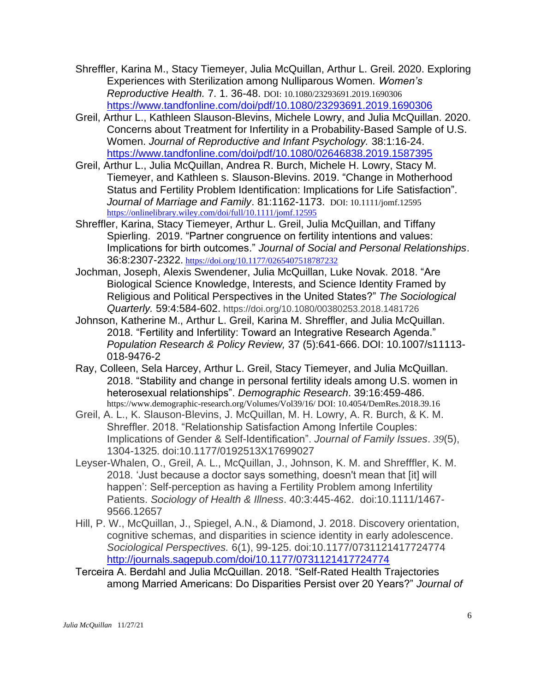- Shreffler, Karina M., Stacy Tiemeyer, Julia McQuillan, Arthur L. Greil. 2020. Exploring Experiences with Sterilization among Nulliparous Women. *Women's Reproductive Health.* 7. 1. 36-48. DOI: 10.1080/23293691.2019.1690306 <https://www.tandfonline.com/doi/pdf/10.1080/23293691.2019.1690306>
- Greil, Arthur L., Kathleen Slauson-Blevins, Michele Lowry, and Julia McQuillan. 2020. Concerns about Treatment for Infertility in a Probability-Based Sample of U.S. Women. *Journal of Reproductive and Infant Psychology.* 38:1:16-24. <https://www.tandfonline.com/doi/pdf/10.1080/02646838.2019.1587395>
- Greil, Arthur L., Julia McQuillan, Andrea R. Burch, Michele H. Lowry, Stacy M. Tiemeyer, and Kathleen s. Slauson-Blevins. 2019. "Change in Motherhood Status and Fertility Problem Identification: Implications for Life Satisfaction". *Journal of Marriage and Family*. 81:1162-1173. DOI: 10.1111/jomf.12595 <https://onlinelibrary.wiley.com/doi/full/10.1111/jomf.12595>
- Shreffler, Karina, Stacy Tiemeyer, Arthur L. Greil, Julia McQuillan, and Tiffany Spierling. 2019. "Partner congruence on fertility intentions and values: Implications for birth outcomes." *Journal of Social and Personal Relationships*. 36:8:2307-2322. [https://doi.org/10.1177/0265407518787232](https://urldefense.proofpoint.com/v2/url?u=https-3A__doi.org_10.1177_0265407518787232&d=DwMGaQ&c=Cu5g146wZdoqVuKpTNsYHeFX_rg6kWhlkLF8Eft-wwo&r=fILb6qQXeUAZbsrvu-VRIsD9z-UDQkiTJFJIlLFx-uo&m=XNjTMjmha0WYfbGnqwgKHSvLzkptVgRsEuADU7nCTxw&s=oxZJBgcsfAb37fmTPf2zDxnjrRI03FTLnndohUC65WU&e=)
- Jochman, Joseph, Alexis Swendener, Julia McQuillan, Luke Novak. 2018. "Are Biological Science Knowledge, Interests, and Science Identity Framed by Religious and Political Perspectives in the United States?" *The Sociological Quarterly.* 59:4:584-602. https://doi.org/10.1080/00380253.2018.1481726
- Johnson, Katherine M., Arthur L. Greil, Karina M. Shreffler, and Julia McQuillan. 2018. "Fertility and Infertility: Toward an Integrative Research Agenda." *Population Research & Policy Review,* 37 (5):641-666. DOI: 10.1007/s11113- 018-9476-2
- Ray, Colleen, Sela Harcey, Arthur L. Greil, Stacy Tiemeyer, and Julia McQuillan. 2018. "Stability and change in personal fertility ideals among U.S. women in heterosexual relationships". *Demographic Research*. 39:16:459-486. https://www.demographic-research.org/Volumes/Vol39/16/ DOI: 10.4054/DemRes.2018.39.16
- Greil, A. L., K. Slauson-Blevins, J. McQuillan, M. H. Lowry, A. R. Burch, & K. M. Shreffler. 2018. "Relationship Satisfaction Among Infertile Couples: Implications of Gender & Self-Identification". *Journal of Family Issues*. *39*(5), 1304-1325*.* doi:10.1177/0192513X17699027
- Leyser-Whalen, O., Greil, A. L., McQuillan, J., Johnson, K. M. and Shrefffler, K. M. 2018. 'Just because a doctor says something, doesn't mean that [it] will happen': Self-perception as having a Fertility Problem among Infertility Patients. *Sociology of Health & Illness*. 40:3:445-462. doi:10.1111/1467- 9566.12657
- Hill, P. W., McQuillan, J., Spiegel, A.N., & Diamond, J. 2018. Discovery orientation, cognitive schemas, and disparities in science identity in early adolescence. *Sociological Perspectives.* 6(1), 99-125. doi:10.1177/0731121417724774 <http://journals.sagepub.com/doi/10.1177/0731121417724774>
- Terceira A. Berdahl and Julia McQuillan. 2018. "Self-Rated Health Trajectories among Married Americans: Do Disparities Persist over 20 Years?" *Journal of*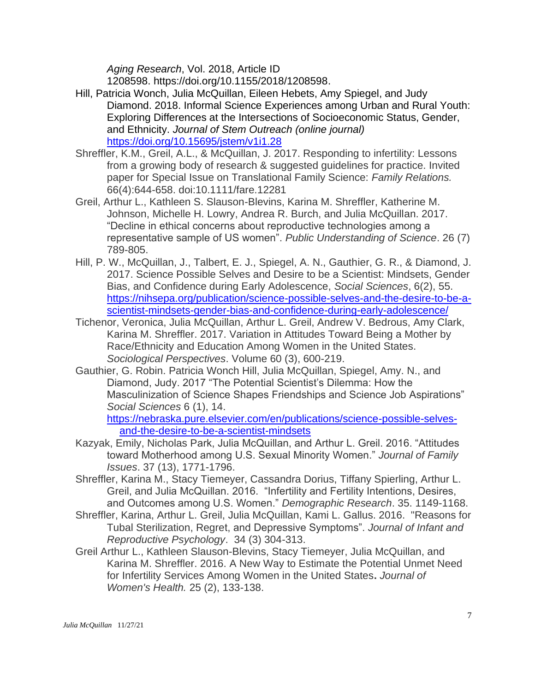*Aging Research*, Vol. 2018, Article ID

1208598. [https://doi.org/10.1155/2018/1208598.](https://doi.org/10.1155/2018/1208598)

- Hill, Patricia Wonch, Julia McQuillan, Eileen Hebets, Amy Spiegel, and Judy Diamond. 2018. Informal Science Experiences among Urban and Rural Youth: Exploring Differences at the Intersections of Socioeconomic Status, Gender, and Ethnicity. *Journal of Stem Outreach (online journal)*  <https://doi.org/10.15695/jstem/v1i1.28>
- Shreffler, K.M., Greil, A.L., & McQuillan, J. 2017. Responding to infertility: Lessons from a growing body of research & suggested guidelines for practice. Invited paper for Special Issue on Translational Family Science: *Family Relations.* 66(4):644-658. doi:10.1111/fare.12281
- Greil, Arthur L., Kathleen S. Slauson-Blevins, Karina M. Shreffler, Katherine M. Johnson, Michelle H. Lowry, Andrea R. Burch, and Julia McQuillan. 2017. "Decline in ethical concerns about reproductive technologies among a representative sample of US women". *Public Understanding of Science*. 26 (7) 789-805.
- Hill, P. W., McQuillan, J., Talbert, E. J., Spiegel, A. N., Gauthier, G. R., & Diamond, J. 2017. Science Possible Selves and Desire to be a Scientist: Mindsets, Gender Bias, and Confidence during Early Adolescence, *Social Sciences*, 6(2), 55. [https://nihsepa.org/publication/science-possible-selves-and-the-desire-to-be-a](https://nihsepa.org/publication/science-possible-selves-and-the-desire-to-be-a-scientist-mindsets-gender-bias-and-confidence-during-early-adolescence/)[scientist-mindsets-gender-bias-and-confidence-during-early-adolescence/](https://nihsepa.org/publication/science-possible-selves-and-the-desire-to-be-a-scientist-mindsets-gender-bias-and-confidence-during-early-adolescence/)
- Tichenor, Veronica, Julia McQuillan, Arthur L. Greil, Andrew V. Bedrous, Amy Clark, Karina M. Shreffler. 2017. Variation in Attitudes Toward Being a Mother by Race/Ethnicity and Education Among Women in the United States. *Sociological Perspectives*. Volume 60 (3), 600-219.
- Gauthier, G. Robin. Patricia Wonch Hill, Julia McQuillan, Spiegel, Amy. N., and Diamond, Judy. 2017 "The Potential Scientist's Dilemma: How the Masculinization of Science Shapes Friendships and Science Job Aspirations" *Social Sciences* 6 (1), 14.

[https://nebraska.pure.elsevier.com/en/publications/science-possible-selves](https://nebraska.pure.elsevier.com/en/publications/science-possible-selves-and-the-desire-to-be-a-scientist-mindsets)[and-the-desire-to-be-a-scientist-mindsets](https://nebraska.pure.elsevier.com/en/publications/science-possible-selves-and-the-desire-to-be-a-scientist-mindsets)

- Kazyak, Emily, Nicholas Park, Julia McQuillan, and Arthur L. Greil. 2016. "Attitudes toward Motherhood among U.S. Sexual Minority Women." *Journal of Family Issues*. 37 (13), 1771-1796.
- Shreffler, Karina M., Stacy Tiemeyer, Cassandra Dorius, Tiffany Spierling, Arthur L. Greil, and Julia McQuillan. 2016. "Infertility and Fertility Intentions, Desires, and Outcomes among U.S. Women." *Demographic Research*. 35. 1149-1168.
- Shreffler, Karina, Arthur L. Greil, Julia McQuillan, Kami L. Gallus. 2016. "Reasons for Tubal Sterilization, Regret, and Depressive Symptoms". *Journal of Infant and Reproductive Psychology*. 34 (3) 304-313.
- Greil Arthur L., Kathleen Slauson-Blevins, Stacy Tiemeyer, Julia McQuillan, and Karina M. Shreffler. 2016. A New Way to Estimate the Potential Unmet Need for Infertility Services Among Women in the United States**.** *Journal of Women's Health.* 25 (2), 133-138.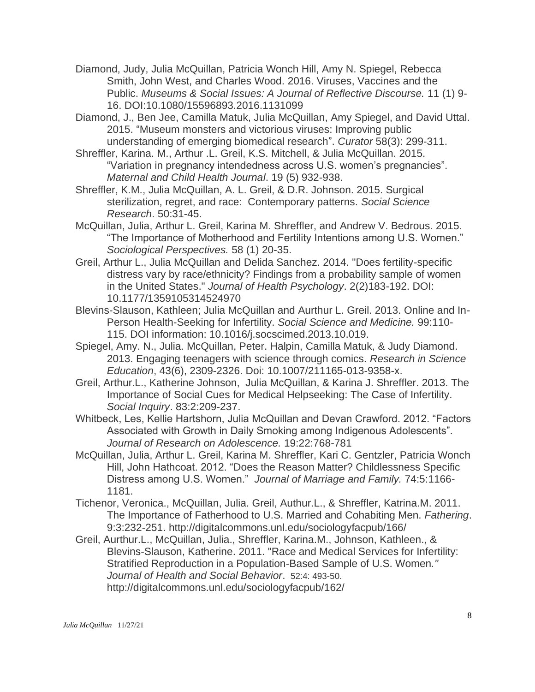- Diamond, Judy, Julia McQuillan, Patricia Wonch Hill, Amy N. Spiegel, Rebecca Smith, John West, and Charles Wood. 2016. Viruses, Vaccines and the Public. *Museums & Social Issues: A Journal of Reflective Discourse.* 11 (1) 9- 16. DOI:10.1080/15596893.2016.1131099
- Diamond, J., Ben Jee, Camilla Matuk, Julia McQuillan, Amy Spiegel, and David Uttal. 2015. "Museum monsters and victorious viruses: Improving public understanding of emerging biomedical research". *Curator* 58(3): 299-311.

Shreffler, Karina. M., Arthur .L. Greil, K.S. Mitchell, & Julia McQuillan. 2015. "Variation in pregnancy intendedness across U.S. women's pregnancies". *Maternal and Child Health Journal*. 19 (5) 932-938.

Shreffler, K.M., Julia McQuillan, A. L. Greil, & D.R. Johnson. 2015. Surgical sterilization, regret, and race: Contemporary patterns. *Social Science Research*. 50:31-45.

McQuillan, Julia, Arthur L. Greil, Karina M. Shreffler, and Andrew V. Bedrous. 2015. "The Importance of Motherhood and Fertility Intentions among U.S. Women." *Sociological Perspectives.* 58 (1) 20-35.

Greil, Arthur L., Julia McQuillan and Delida Sanchez. 2014. "Does fertility-specific distress vary by race/ethnicity? Findings from a probability sample of women in the United States." *Journal of Health Psychology*. 2(2)183-192. DOI: 10.1177/1359105314524970

Blevins-Slauson, Kathleen; Julia McQuillan and Aurthur L. Greil. 2013. Online and In-Person Health-Seeking for Infertility. *Social Science and Medicine.* 99:110- 115. DOI information: 10.1016/j.socscimed.2013.10.019.

Spiegel, Amy. N., Julia. McQuillan, Peter. Halpin, Camilla Matuk, & Judy Diamond. 2013. Engaging teenagers with science through comics. *Research in Science Education*, 43(6), 2309-2326. Doi: 10.1007/211165-013-9358-x.

Greil, Arthur.L., Katherine Johnson, Julia McQuillan, & Karina J. Shreffler. 2013. The Importance of Social Cues for Medical Helpseeking: The Case of Infertility. *Social Inquiry*. 83:2:209-237.

Whitbeck, Les, Kellie Hartshorn, Julia McQuillan and Devan Crawford. 2012. "Factors Associated with Growth in Daily Smoking among Indigenous Adolescents". *Journal of Research on Adolescence.* 19:22:768-781

McQuillan, Julia, Arthur L. Greil, Karina M. Shreffler, Kari C. Gentzler, Patricia Wonch Hill, John Hathcoat. 2012. "Does the Reason Matter? Childlessness Specific Distress among U.S. Women." *Journal of Marriage and Family.* 74:5:1166- 1181.

- Tichenor, Veronica., McQuillan, Julia. Greil, Authur.L., & Shreffler, Katrina.M. 2011. The Importance of Fatherhood to U.S. Married and Cohabiting Men. *Fathering*. 9:3:232-251. <http://digitalcommons.unl.edu/sociologyfacpub/166/>
- Greil, Aurthur.L., McQuillan, Julia., Shreffler, Karina.M., Johnson, Kathleen., & Blevins-Slauson, Katherine. 2011. "Race and Medical Services for Infertility: Stratified Reproduction in a Population-Based Sample of U.S. Women*." Journal of Health and Social Behavior*. 52:4: 493-50. <http://digitalcommons.unl.edu/sociologyfacpub/162/>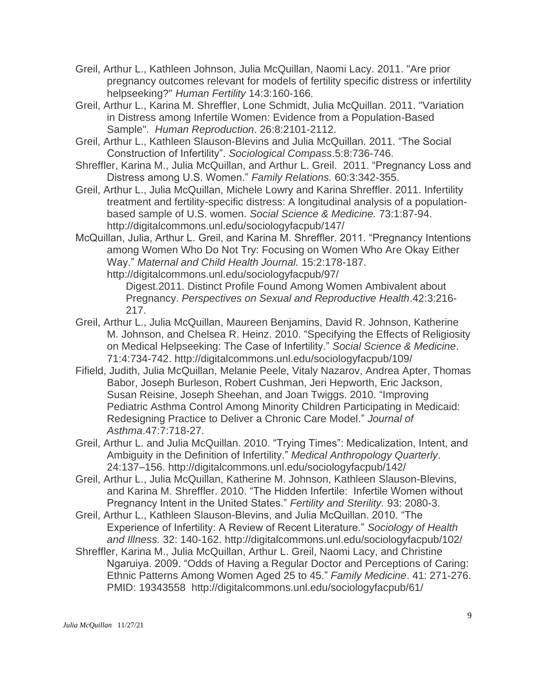- Greil, Arthur L., Kathleen Johnson, Julia McQuillan, Naomi Lacy. 2011. "Are prior pregnancy outcomes relevant for models of fertility specific distress or infertility helpseeking?" *Human Fertility* 14:3:160-166.
- Greil, Arthur L., Karina M. Shreffler, Lone Schmidt, Julia McQuillan. 2011. "Variation in Distress among Infertile Women: Evidence from a Population-Based Sample". *Human Reproduction*. 26:8:2101-2112.
- Greil, Arthur L., Kathleen Slauson-Blevins and Julia McQuillan. 2011. "The Social Construction of Infertility". *Sociological Compass*.5:8:736-746.
- Shreffler, Karina M., Julia McQuillan, and Arthur L. Greil. 2011. "Pregnancy Loss and Distress among U.S. Women." *Family Relations.* 60:3:342-355.
- Greil, Arthur L., Julia McQuillan, Michele Lowry and Karina Shreffler. 2011. Infertility treatment and fertility-specific distress: A longitudinal analysis of a populationbased sample of U.S. women. *Social Science & Medicine.* 73:1:87-94. <http://digitalcommons.unl.edu/sociologyfacpub/147/>
- McQuillan, Julia, Arthur L. Greil, and Karina M. Shreffler. 2011. "Pregnancy Intentions among Women Who Do Not Try: Focusing on Women Who Are Okay Either Way." *Maternal and Child Health Journal.* 15:2:178-187. <http://digitalcommons.unl.edu/sociologyfacpub/97/>

Digest.2011. Distinct Profile Found Among Women Ambivalent about Pregnancy. *Perspectives on Sexual and Reproductive Health*.42:3:216- 217.

- Greil, Arthur L., Julia McQuillan, Maureen Benjamins, David R. Johnson, Katherine M. Johnson, and Chelsea R. Heinz. 2010. "Specifying the Effects of Religiosity on Medical Helpseeking: The Case of Infertility." *Social Science & Medicine*. 71:4:734-742. <http://digitalcommons.unl.edu/sociologyfacpub/109/>
- Fifield, Judith, Julia McQuillan, Melanie Peele, Vitaly Nazarov, Andrea Apter, Thomas Babor, Joseph Burleson, Robert Cushman, Jeri Hepworth, Eric Jackson, Susan Reisine, Joseph Sheehan, and Joan Twiggs. 2010. "Improving Pediatric Asthma Control Among Minority Children Participating in Medicaid: Redesigning Practice to Deliver a Chronic Care Model." *Journal of Asthma*.47:7:718-27.
- Greil, Arthur L. and Julia McQuillan. 2010. "Trying Times": Medicalization, Intent, and Ambiguity in the Definition of Infertility." *Medical Anthropology Quarterly*. 24:137–156. <http://digitalcommons.unl.edu/sociologyfacpub/142/>
- Greil, Arthur L., Julia McQuillan, Katherine M. Johnson, Kathleen Slauson-Blevins, and Karina M. Shreffler. 2010. "The Hidden Infertile: Infertile Women without Pregnancy Intent in the United States." *Fertility and Sterility.* 93: 2080-3.
- Greil, Arthur L., Kathleen Slauson-Blevins, and Julia McQuillan. 2010. "The Experience of Infertility: A Review of Recent Literature." *Sociology of Health and Illness.* 32: 140-162. <http://digitalcommons.unl.edu/sociologyfacpub/102/>
- Shreffler, Karina M., Julia McQuillan, Arthur L. Greil, Naomi Lacy, and Christine Ngaruiya. 2009. "Odds of Having a Regular Doctor and Perceptions of Caring: Ethnic Patterns Among Women Aged 25 to 45." *Family Medicine*. 41: 271-276. PMID: 19343558 <http://digitalcommons.unl.edu/sociologyfacpub/61/>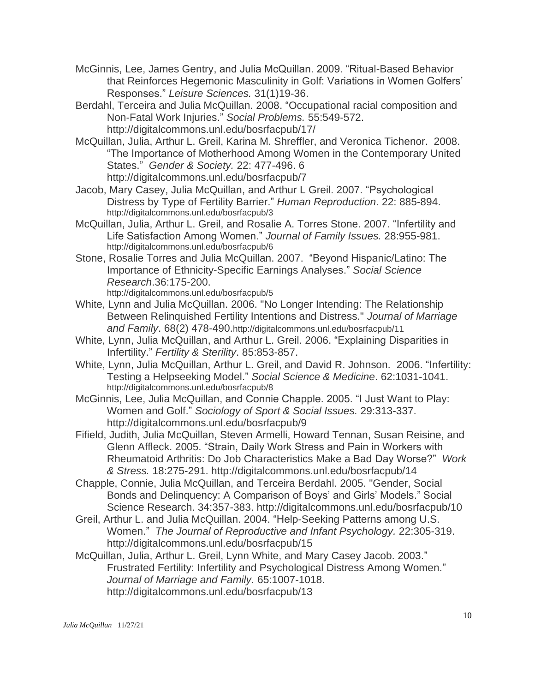- McGinnis, Lee, James Gentry, and Julia McQuillan. 2009. "Ritual-Based Behavior that Reinforces Hegemonic Masculinity in Golf: Variations in Women Golfers' Responses." *Leisure Sciences.* 31(1)19-36.
- Berdahl, Terceira and Julia McQuillan. 2008. "Occupational racial composition and Non-Fatal Work Injuries." *Social Problems.* 55:549-572. <http://digitalcommons.unl.edu/bosrfacpub/17/>
- McQuillan, Julia, Arthur L. Greil, Karina M. Shreffler, and Veronica Tichenor. 2008. "The Importance of Motherhood Among Women in the Contemporary United States." *Gender & Society.* 22: 477-496. 6 <http://digitalcommons.unl.edu/bosrfacpub/7>
- Jacob, Mary Casey, Julia McQuillan, and Arthur L Greil. 2007. "Psychological Distress by Type of Fertility Barrier." *Human Reproduction*. 22: 885-894. <http://digitalcommons.unl.edu/bosrfacpub/3>
- McQuillan, Julia, Arthur L. Greil, and Rosalie A. Torres Stone. 2007. "Infertility and Life Satisfaction Among Women." *Journal of Family Issues.* 28:955-981. <http://digitalcommons.unl.edu/bosrfacpub/6>
- Stone, Rosalie Torres and Julia McQuillan. 2007. "Beyond Hispanic/Latino: The Importance of Ethnicity-Specific Earnings Analyses." *Social Science Research*.36:175-200. <http://digitalcommons.unl.edu/bosrfacpub/5>
- White, Lynn and Julia McQuillan. 2006. "No Longer Intending: The Relationship Between Relinquished Fertility Intentions and Distress." *Journal of Marriage and Family*. 68(2) 478-490.<http://digitalcommons.unl.edu/bosrfacpub/11>
- White, Lynn, Julia McQuillan, and Arthur L. Greil. 2006. "Explaining Disparities in Infertility." *Fertility & Sterility*. 85:853-857.
- White, Lynn, Julia McQuillan, Arthur L. Greil, and David R. Johnson. 2006. "Infertility: Testing a Helpseeking Model." *Social Science & Medicine*. 62:1031-1041. <http://digitalcommons.unl.edu/bosrfacpub/8>
- McGinnis, Lee, Julia McQuillan, and Connie Chapple. 2005. "I Just Want to Play: Women and Golf." *Sociology of Sport & Social Issues.* 29:313-337. <http://digitalcommons.unl.edu/bosrfacpub/9>
- Fifield, Judith, Julia McQuillan, Steven Armelli, Howard Tennan, Susan Reisine, and Glenn Affleck. 2005. "Strain, Daily Work Stress and Pain in Workers with Rheumatoid Arthritis: Do Job Characteristics Make a Bad Day Worse?" *Work & Stress.* 18:275-291.<http://digitalcommons.unl.edu/bosrfacpub/14>
- Chapple, Connie, Julia McQuillan, and Terceira Berdahl. 2005. "Gender, Social Bonds and Delinquency: A Comparison of Boys' and Girls' Models." Social Science Research. 34:357-383. <http://digitalcommons.unl.edu/bosrfacpub/10>
- Greil, Arthur L. and Julia McQuillan. 2004. "Help-Seeking Patterns among U.S. Women." *The Journal of Reproductive and Infant Psychology.* 22:305-319. <http://digitalcommons.unl.edu/bosrfacpub/15>
- McQuillan, Julia, Arthur L. Greil, Lynn White, and Mary Casey Jacob. 2003." Frustrated Fertility: Infertility and Psychological Distress Among Women." *Journal of Marriage and Family.* 65:1007-1018. <http://digitalcommons.unl.edu/bosrfacpub/13>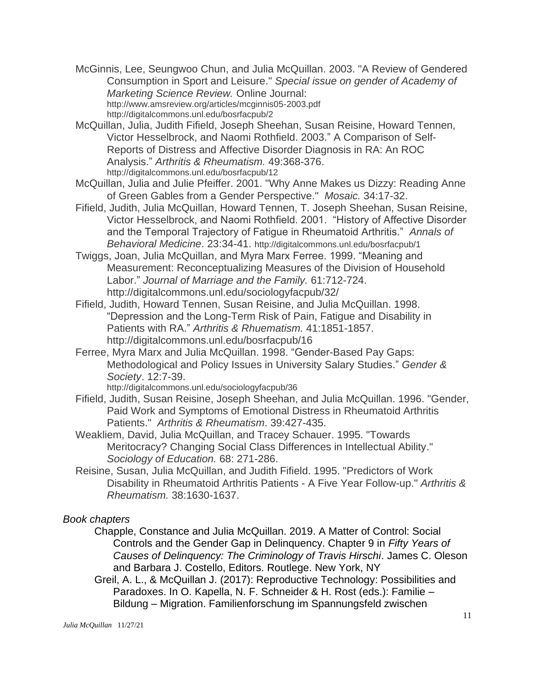McGinnis, Lee, Seungwoo Chun, and Julia McQuillan. 2003. "A Review of Gendered Consumption in Sport and Leisure." *Special issue on gender of Academy of Marketing Science Review.* Online Journal: <http://www.amsreview.org/articles/mcginnis05-2003.pdf> <http://digitalcommons.unl.edu/bosrfacpub/2>

- McQuillan, Julia, Judith Fifield, Joseph Sheehan, Susan Reisine, Howard Tennen, Victor Hesselbrock, and Naomi Rothfield. 2003." A Comparison of Self-Reports of Distress and Affective Disorder Diagnosis in RA: An ROC Analysis." *Arthritis & Rheumatism.* 49:368-376. <http://digitalcommons.unl.edu/bosrfacpub/12>
- McQuillan, Julia and Julie Pfeiffer. 2001. "Why Anne Makes us Dizzy: Reading Anne of Green Gables from a Gender Perspective." *Mosaic.* 34:17-32.
- Fifield, Judith, Julia McQuillan, Howard Tennen, T. Joseph Sheehan, Susan Reisine, Victor Hesselbrock, and Naomi Rothfield. 2001. "History of Affective Disorder and the Temporal Trajectory of Fatigue in Rheumatoid Arthritis." *Annals of Behavioral Medicine*. 23:34-41. <http://digitalcommons.unl.edu/bosrfacpub/1>
- Twiggs, Joan, Julia McQuillan, and Myra Marx Ferree. 1999. "Meaning and Measurement: Reconceptualizing Measures of the Division of Household Labor." *Journal of Marriage and the Family.* 61:712-724. <http://digitalcommons.unl.edu/sociologyfacpub/32/>
- Fifield, Judith, Howard Tennen, Susan Reisine, and Julia McQuillan. 1998. "Depression and the Long-Term Risk of Pain, Fatigue and Disability in Patients with RA." *Arthritis & Rhuematism.* 41:1851-1857. <http://digitalcommons.unl.edu/bosrfacpub/16>
- Ferree, Myra Marx and Julia McQuillan. 1998. "Gender-Based Pay Gaps: Methodological and Policy Issues in University Salary Studies." *Gender & Society*. 12:7-39.

<http://digitalcommons.unl.edu/sociologyfacpub/36>

- Fifield, Judith, Susan Reisine, Joseph Sheehan, and Julia McQuillan. 1996. "Gender, Paid Work and Symptoms of Emotional Distress in Rheumatoid Arthritis Patients." *Arthritis & Rheumatism*. 39:427-435.
- Weakliem, David, Julia McQuillan, and Tracey Schauer. 1995. "Towards Meritocracy? Changing Social Class Differences in Intellectual Ability." *Sociology of Education.* 68: 271-286.
- Reisine, Susan, Julia McQuillan, and Judith Fifield. 1995. "Predictors of Work Disability in Rheumatoid Arthritis Patients - A Five Year Follow-up." *Arthritis & Rheumatism.* 38:1630-1637.

## *Book chapters*

- Chapple, Constance and Julia McQuillan. 2019. A Matter of Control: Social Controls and the Gender Gap in Delinquency. Chapter 9 in *Fifty Years of Causes of Delinquency: The Criminology of Travis Hirschi*. James C. Oleson and Barbara J. Costello, Editors. Routlege. New York, NY
- Greil, A. L., & McQuillan J. (2017): Reproductive Technology: Possibilities and Paradoxes. In O. Kapella, N. F. Schneider & H. Rost (eds.): Familie – Bildung – Migration. Familienforschung im Spannungsfeld zwischen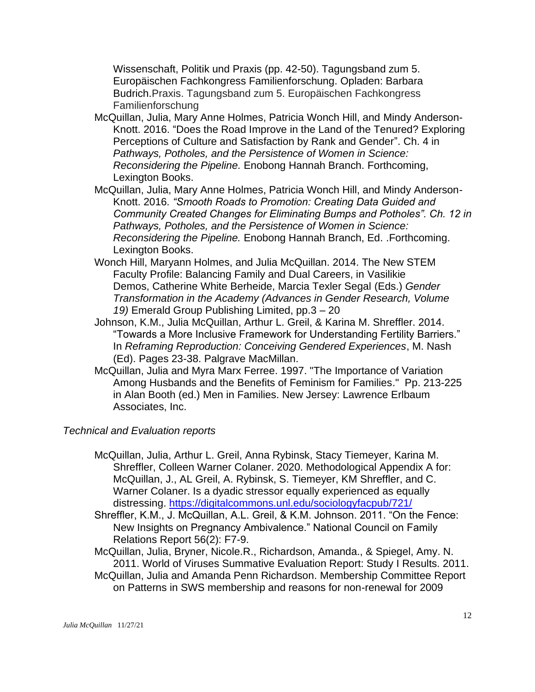Wissenschaft, Politik und Praxis (pp. 42-50). Tagungsband zum 5. Europäischen Fachkongress Familienforschung. Opladen: Barbara Budrich.Praxis. Tagungsband zum 5. Europäischen Fachkongress Familienforschung

- McQuillan, Julia, Mary Anne Holmes, Patricia Wonch Hill, and Mindy Anderson-Knott. 2016. "Does the Road Improve in the Land of the Tenured? Exploring Perceptions of Culture and Satisfaction by Rank and Gender". Ch. 4 in *Pathways, Potholes, and the Persistence of Women in Science: Reconsidering the Pipeline.* Enobong Hannah Branch. Forthcoming, Lexington Books.
- McQuillan, Julia, Mary Anne Holmes, Patricia Wonch Hill, and Mindy Anderson-Knott. 2016*. "Smooth Roads to Promotion: Creating Data Guided and Community Created Changes for Eliminating Bumps and Potholes". Ch. 12 in Pathways, Potholes, and the Persistence of Women in Science: Reconsidering the Pipeline.* Enobong Hannah Branch, Ed. .Forthcoming. Lexington Books.
- Wonch Hill, Maryann Holmes, and Julia McQuillan. 2014. The New STEM Faculty Profile: Balancing Family and Dual Careers, in Vasilikie Demos, Catherine White Berheide, Marcia Texler Segal (Eds.) *Gender Transformation in the Academy (Advances in Gender Research, Volume 19)* Emerald Group Publishing Limited, pp.3 – 20
- Johnson, K.M., Julia McQuillan, Arthur L. Greil, & Karina M. Shreffler. 2014. "Towards a More Inclusive Framework for Understanding Fertility Barriers." In *Reframing Reproduction: Conceiving Gendered Experiences*, M. Nash (Ed). Pages 23-38. Palgrave MacMillan.
- McQuillan, Julia and Myra Marx Ferree. 1997. "The Importance of Variation Among Husbands and the Benefits of Feminism for Families." Pp. 213-225 in Alan Booth (ed.) Men in Families. New Jersey: Lawrence Erlbaum Associates, Inc.

## *Technical and Evaluation reports*

- McQuillan, Julia, Arthur L. Greil, Anna Rybinsk, Stacy Tiemeyer, Karina M. Shreffler, Colleen Warner Colaner. 2020. Methodological Appendix A for: McQuillan, J., AL Greil, A. Rybinsk, S. Tiemeyer, KM Shreffler, and C. Warner Colaner. Is a dyadic stressor equally experienced as equally distressing.<https://digitalcommons.unl.edu/sociologyfacpub/721/>
- Shreffler, K.M., J. McQuillan, A.L. Greil, & K.M. Johnson. 2011. "On the Fence: New Insights on Pregnancy Ambivalence." National Council on Family Relations Report 56(2): F7-9.
- McQuillan, Julia, Bryner, Nicole.R., Richardson, Amanda., & Spiegel, Amy. N. 2011. World of Viruses Summative Evaluation Report: Study I Results. 2011.
- McQuillan, Julia and Amanda Penn Richardson. Membership Committee Report on Patterns in SWS membership and reasons for non-renewal for 2009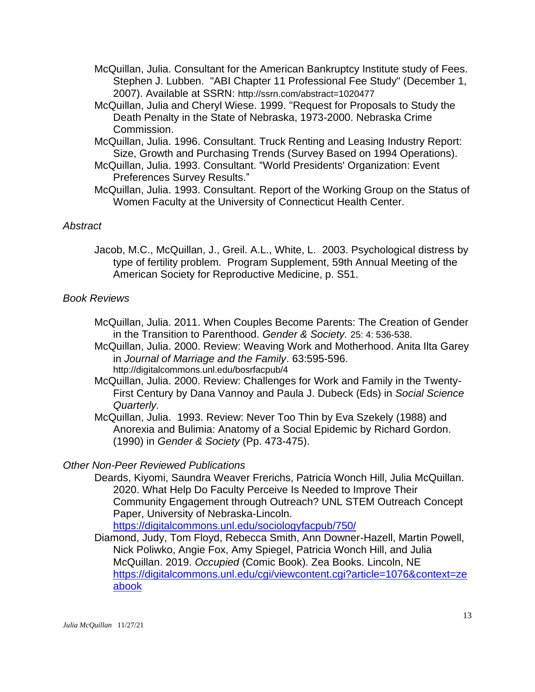- McQuillan, Julia. Consultant for the American Bankruptcy Institute study of Fees. Stephen J. Lubben. "ABI Chapter 11 Professional Fee Study" (December 1, 2007). Available at SSRN: <http://ssrn.com/abstract=1020477>
- McQuillan, Julia and Cheryl Wiese. 1999. "Request for Proposals to Study the Death Penalty in the State of Nebraska, 1973-2000. Nebraska Crime Commission.
- McQuillan, Julia. 1996. Consultant. Truck Renting and Leasing Industry Report: Size, Growth and Purchasing Trends (Survey Based on 1994 Operations).
- McQuillan, Julia. 1993. Consultant. "World Presidents' Organization: Event Preferences Survey Results."
- McQuillan, Julia. 1993. Consultant. Report of the Working Group on the Status of Women Faculty at the University of Connecticut Health Center.

# *Abstract*

Jacob, M.C., McQuillan, J., Greil. A.L., White, L. 2003. Psychological distress by type of fertility problem. Program Supplement, 59th Annual Meeting of the American Society for Reproductive Medicine, p. S51.

## *Book Reviews*

- McQuillan, Julia. 2011. When Couples Become Parents: The Creation of Gender in the Transition to Parenthood. *Gender & Society.* 25: 4: 536-538.
- McQuillan, Julia. 2000. Review: Weaving Work and Motherhood. Anita Ilta Garey in *Journal of Marriage and the Family*. 63:595-596. <http://digitalcommons.unl.edu/bosrfacpub/4>
- McQuillan, Julia. 2000. Review: Challenges for Work and Family in the Twenty-First Century by Dana Vannoy and Paula J. Dubeck (Eds) in *Social Science Quarterly.*
- McQuillan, Julia. 1993. Review: Never Too Thin by Eva Szekely (1988) and Anorexia and Bulimia: Anatomy of a Social Epidemic by Richard Gordon. (1990) in *Gender & Society* (Pp. 473-475).

# *Other Non-Peer Reviewed Publications*

Deards, Kiyomi, Saundra Weaver Frerichs, Patricia Wonch Hill, Julia McQuillan. 2020. What Help Do Faculty Perceive Is Needed to Improve Their Community Engagement through Outreach? UNL STEM Outreach Concept Paper, University of Nebraska-Lincoln.

<https://digitalcommons.unl.edu/sociologyfacpub/750/>

Diamond, Judy, Tom Floyd, Rebecca Smith, Ann Downer-Hazell, Martin Powell, Nick Poliwko, Angie Fox, Amy Spiegel, Patricia Wonch Hill, and Julia McQuillan. 2019. *Occupied* (Comic Book). Zea Books. Lincoln, NE [https://digitalcommons.unl.edu/cgi/viewcontent.cgi?article=1076&context=ze](https://digitalcommons.unl.edu/cgi/viewcontent.cgi?article=1076&context=zeabook) [abook](https://digitalcommons.unl.edu/cgi/viewcontent.cgi?article=1076&context=zeabook)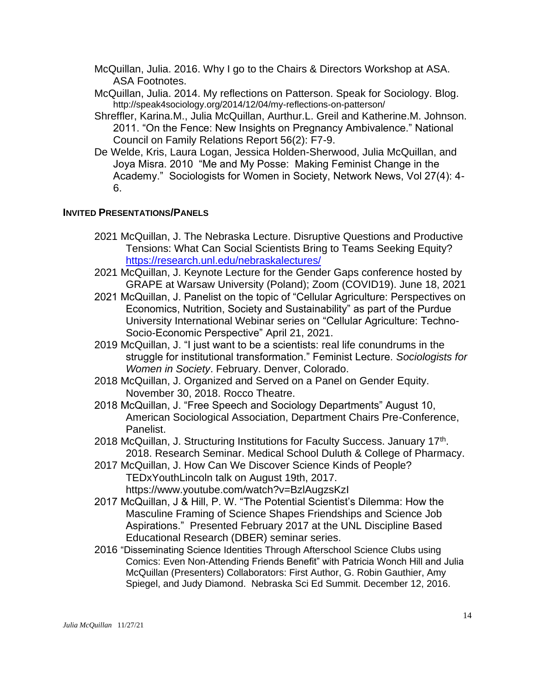- McQuillan, Julia. 2016. Why I go to the Chairs & Directors Workshop at ASA. ASA Footnotes.
- McQuillan, Julia. 2014. My reflections on Patterson. Speak for Sociology. Blog. <http://speak4sociology.org/2014/12/04/my-reflections-on-patterson/>
- Shreffler, Karina.M., Julia McQuillan, Aurthur.L. Greil and Katherine.M. Johnson. 2011. "On the Fence: New Insights on Pregnancy Ambivalence." National Council on Family Relations Report 56(2): F7-9.
- De Welde, Kris, Laura Logan, Jessica Holden-Sherwood, Julia McQuillan, and Joya Misra. 2010 "Me and My Posse: Making Feminist Change in the Academy." Sociologists for Women in Society, Network News, Vol 27(4): 4- 6.

#### **INVITED PRESENTATIONS/PANELS**

- 2021 McQuillan, J. The Nebraska Lecture. Disruptive Questions and Productive Tensions: What Can Social Scientists Bring to Teams Seeking Equity? <https://research.unl.edu/nebraskalectures/>
- 2021 McQuillan, J. Keynote Lecture for the Gender Gaps conference hosted by GRAPE at Warsaw University (Poland); Zoom (COVID19). June 18, 2021
- 2021 McQuillan, J. Panelist on the topic of "Cellular Agriculture: Perspectives on Economics, Nutrition, Society and Sustainability" as part of the Purdue University International Webinar series on "Cellular Agriculture: Techno-Socio-Economic Perspective" April 21, 2021.
- 2019 McQuillan, J. "I just want to be a scientists: real life conundrums in the struggle for institutional transformation." Feminist Lecture. *Sociologists for Women in Society*. February. Denver, Colorado.
- 2018 McQuillan, J. Organized and Served on a Panel on Gender Equity. November 30, 2018. Rocco Theatre.
- 2018 McQuillan, J. "Free Speech and Sociology Departments" August 10, American Sociological Association, Department Chairs Pre-Conference, Panelist.
- 2018 McQuillan, J. Structuring Institutions for Faculty Success. January 17<sup>th</sup>. 2018. Research Seminar. Medical School Duluth & College of Pharmacy.
- 2017 McQuillan, J. How Can We Discover Science Kinds of People? TEDxYouthLincoln talk on August 19th, 2017. https://www.youtube.com/watch?v=BzlAugzsKzI
- 2017 McQuillan, J & Hill, P. W. "The Potential Scientist's Dilemma: How the Masculine Framing of Science Shapes Friendships and Science Job Aspirations." Presented February 2017 at the UNL Discipline Based Educational Research (DBER) seminar series.
- 2016 "Disseminating Science Identities Through Afterschool Science Clubs using Comics: Even Non-Attending Friends Benefit" with Patricia Wonch Hill and Julia McQuillan (Presenters) Collaborators: First Author, G. Robin Gauthier, Amy Spiegel, and Judy Diamond. Nebraska Sci Ed Summit. December 12, 2016.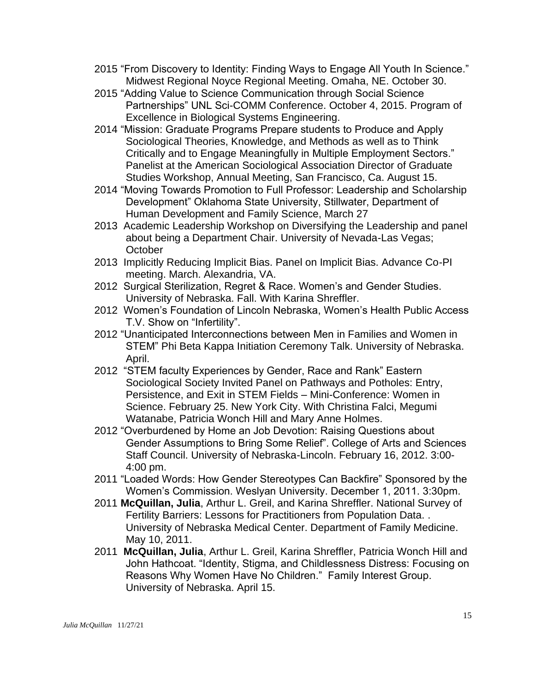- 2015 "From Discovery to Identity: Finding Ways to Engage All Youth In Science." Midwest Regional Noyce Regional Meeting. Omaha, NE. October 30.
- 2015 "Adding Value to Science Communication through Social Science Partnerships" UNL Sci-COMM Conference. October 4, 2015. Program of Excellence in Biological Systems Engineering.
- 2014 "Mission: Graduate Programs Prepare students to Produce and Apply Sociological Theories, Knowledge, and Methods as well as to Think Critically and to Engage Meaningfully in Multiple Employment Sectors." Panelist at the American Sociological Association Director of Graduate Studies Workshop, Annual Meeting, San Francisco, Ca. August 15.
- 2014 "Moving Towards Promotion to Full Professor: Leadership and Scholarship Development" Oklahoma State University, Stillwater, Department of Human Development and Family Science, March 27
- 2013 Academic Leadership Workshop on Diversifying the Leadership and panel about being a Department Chair. University of Nevada-Las Vegas; **October**
- 2013 Implicitly Reducing Implicit Bias. Panel on Implicit Bias. Advance Co-PI meeting. March. Alexandria, VA.
- 2012 Surgical Sterilization, Regret & Race. Women's and Gender Studies. University of Nebraska. Fall. With Karina Shreffler.
- 2012 Women's Foundation of Lincoln Nebraska, Women's Health Public Access T.V. Show on "Infertility".
- 2012 "Unanticipated Interconnections between Men in Families and Women in STEM" Phi Beta Kappa Initiation Ceremony Talk. University of Nebraska. April.
- 2012 "STEM faculty Experiences by Gender, Race and Rank" Eastern Sociological Society Invited Panel on Pathways and Potholes: Entry, Persistence, and Exit in STEM Fields – Mini-Conference: Women in Science. February 25. New York City. With Christina Falci, Megumi Watanabe, Patricia Wonch Hill and Mary Anne Holmes.
- 2012 "Overburdened by Home an Job Devotion: Raising Questions about Gender Assumptions to Bring Some Relief". College of Arts and Sciences Staff Council. University of Nebraska-Lincoln. February 16, 2012. 3:00- 4:00 pm.
- 2011 "Loaded Words: How Gender Stereotypes Can Backfire" Sponsored by the Women's Commission. Weslyan University. December 1, 2011. 3:30pm.
- 2011 **McQuillan, Julia**, Arthur L. Greil, and Karina Shreffler. National Survey of Fertility Barriers: Lessons for Practitioners from Population Data. . University of Nebraska Medical Center. Department of Family Medicine. May 10, 2011.
- 2011 **McQuillan, Julia**, Arthur L. Greil, Karina Shreffler, Patricia Wonch Hill and John Hathcoat. "Identity, Stigma, and Childlessness Distress: Focusing on Reasons Why Women Have No Children." Family Interest Group. University of Nebraska. April 15.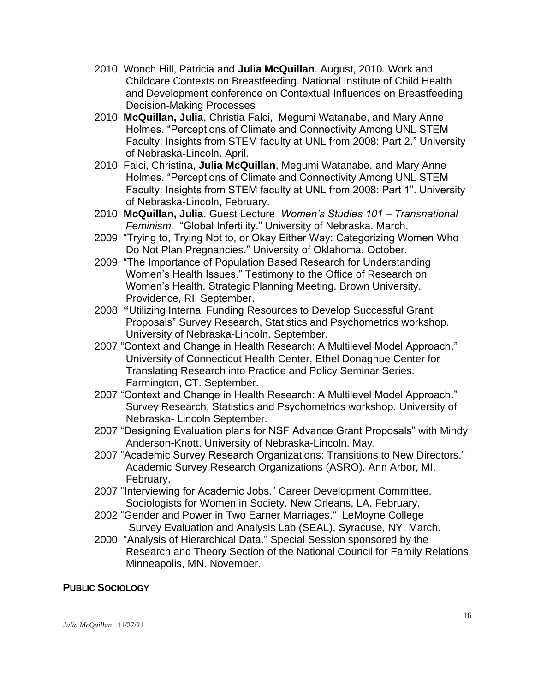- 2010 Wonch Hill, Patricia and **Julia McQuillan**. August, 2010. Work and Childcare Contexts on Breastfeeding. National Institute of Child Health and Development conference on Contextual Influences on Breastfeeding Decision-Making Processes
- 2010 **McQuillan, Julia**, Christia Falci, Megumi Watanabe, and Mary Anne Holmes. "Perceptions of Climate and Connectivity Among UNL STEM Faculty: Insights from STEM faculty at UNL from 2008: Part 2." University of Nebraska-Lincoln. April.
- 2010 Falci, Christina, **Julia McQuillan**, Megumi Watanabe, and Mary Anne Holmes. "Perceptions of Climate and Connectivity Among UNL STEM Faculty: Insights from STEM faculty at UNL from 2008: Part 1". University of Nebraska-Lincoln, February.
- 2010 **McQuillan, Julia**. Guest Lecture *Women's Studies 101 – Transnational Feminism.* "Global Infertility." University of Nebraska. March.
- 2009 "Trying to, Trying Not to, or Okay Either Way: Categorizing Women Who Do Not Plan Pregnancies." University of Oklahoma. October.
- 2009 "The Importance of Population Based Research for Understanding Women's Health Issues." Testimony to the Office of Research on Women's Health. Strategic Planning Meeting. Brown University. Providence, RI. September.
- 2008 **"**Utilizing Internal Funding Resources to Develop Successful Grant Proposals" Survey Research, Statistics and Psychometrics workshop. University of Nebraska-Lincoln. September.
- 2007 "Context and Change in Health Research: A Multilevel Model Approach." University of Connecticut Health Center, Ethel Donaghue Center for Translating Research into Practice and Policy Seminar Series. Farmington, CT. September.
- 2007 "Context and Change in Health Research: A Multilevel Model Approach." Survey Research, Statistics and Psychometrics workshop. University of Nebraska- Lincoln September.
- 2007 "Designing Evaluation plans for NSF Advance Grant Proposals" with Mindy Anderson-Knott. University of Nebraska-Lincoln. May.
- 2007 "Academic Survey Research Organizations: Transitions to New Directors." Academic Survey Research Organizations (ASRO). Ann Arbor, MI. February.
- 2007 "Interviewing for Academic Jobs." Career Development Committee. Sociologists for Women in Society. New Orleans, LA. February.
- 2002 "Gender and Power in Two Earner Marriages." LeMoyne College Survey Evaluation and Analysis Lab (SEAL). Syracuse, NY. March.
- 2000 "Analysis of Hierarchical Data." Special Session sponsored by the Research and Theory Section of the National Council for Family Relations. Minneapolis, MN. November.

## **PUBLIC SOCIOLOGY**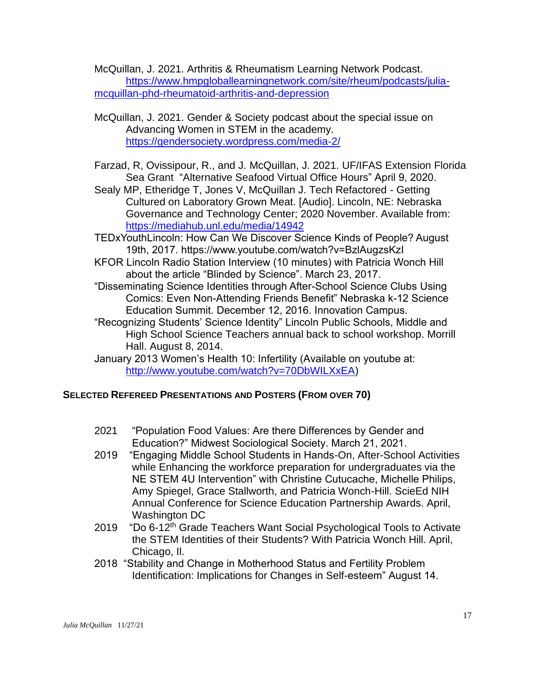McQuillan, J. 2021. Arthritis & Rheumatism Learning Network Podcast. [https://www.hmpgloballearningnetwork.com/site/rheum/podcasts/julia](https://www.hmpgloballearningnetwork.com/site/rheum/podcasts/julia-mcquillan-phd-rheumatoid-arthritis-and-depression)[mcquillan-phd-rheumatoid-arthritis-and-depression](https://www.hmpgloballearningnetwork.com/site/rheum/podcasts/julia-mcquillan-phd-rheumatoid-arthritis-and-depression)

- McQuillan, J. 2021. Gender & Society podcast about the special issue on Advancing Women in STEM in the academy. <https://gendersociety.wordpress.com/media-2/>
- Farzad, R, Ovissipour, R., and J. McQuillan, J. 2021. UF/IFAS Extension Florida Sea Grant "Alternative Seafood Virtual Office Hours" April 9, 2020.
- Sealy MP, Etheridge T, Jones V, McQuillan J. Tech Refactored Getting Cultured on Laboratory Grown Meat. [Audio]. Lincoln, NE: Nebraska Governance and Technology Center; 2020 November. Available from: <https://mediahub.unl.edu/media/14942>
- TEDxYouthLincoln: How Can We Discover Science Kinds of People? August 19th, 2017. https://www.youtube.com/watch?v=BzlAugzsKzI
- KFOR Lincoln Radio Station Interview (10 minutes) with Patricia Wonch Hill about the article "Blinded by Science". March 23, 2017.
- "Disseminating Science Identities through After-School Science Clubs Using Comics: Even Non-Attending Friends Benefit" Nebraska k-12 Science Education Summit. December 12, 2016. Innovation Campus.
- "Recognizing Students' Science Identity" Lincoln Public Schools, Middle and High School Science Teachers annual back to school workshop. Morrill Hall. August 8, 2014.
- January 2013 Women's Health 10: Infertility (Available on youtube at: [http://www.youtube.com/watch?v=70DbWILXxEA\)](http://www.youtube.com/watch?v=70DbWILXxEA)

## **SELECTED REFEREED PRESENTATIONS AND POSTERS (FROM OVER 70)**

- 2021 "Population Food Values: Are there Differences by Gender and Education?" Midwest Sociological Society. March 21, 2021.
- 2019 "Engaging Middle School Students in Hands-On, After-School Activities while Enhancing the workforce preparation for undergraduates via the NE STEM 4U Intervention" with Christine Cutucache, Michelle Philips, Amy Spiegel, Grace Stallworth, and Patricia Wonch-Hill. ScieEd NIH Annual Conference for Science Education Partnership Awards. April, Washington DC
- 2019 "Do 6-12<sup>th</sup> Grade Teachers Want Social Psychological Tools to Activate the STEM Identities of their Students? With Patricia Wonch Hill. April, Chicago, Il.
- 2018 "Stability and Change in Motherhood Status and Fertility Problem Identification: Implications for Changes in Self-esteem" August 14.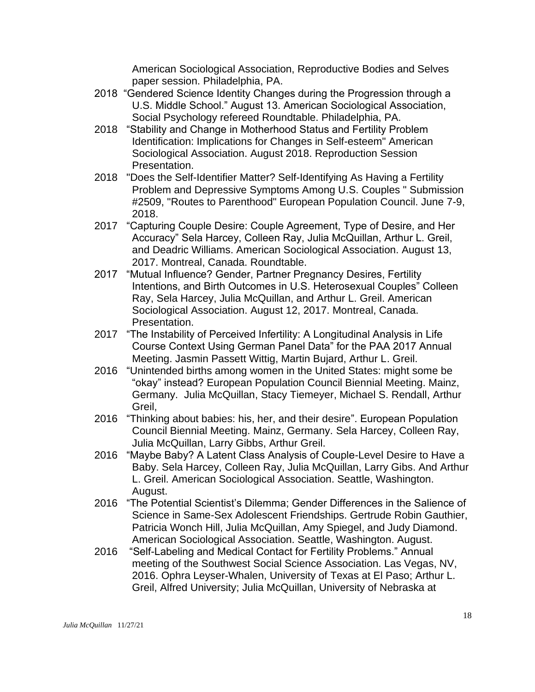American Sociological Association, Reproductive Bodies and Selves paper session. Philadelphia, PA.

- 2018 "Gendered Science Identity Changes during the Progression through a U.S. Middle School." August 13. American Sociological Association, Social Psychology refereed Roundtable. Philadelphia, PA.
- 2018 "Stability and Change in Motherhood Status and Fertility Problem Identification: Implications for Changes in Self-esteem" American Sociological Association. August 2018. Reproduction Session Presentation.
- 2018 "Does the Self-Identifier Matter? Self-Identifying As Having a Fertility Problem and Depressive Symptoms Among U.S. Couples " Submission #2509, "Routes to Parenthood" European Population Council. June 7-9, 2018.
- 2017 "Capturing Couple Desire: Couple Agreement, Type of Desire, and Her Accuracy" Sela Harcey, Colleen Ray, Julia McQuillan, Arthur L. Greil, and Deadric Williams. American Sociological Association. August 13, 2017. Montreal, Canada. Roundtable.
- 2017 "Mutual Influence? Gender, Partner Pregnancy Desires, Fertility Intentions, and Birth Outcomes in U.S. Heterosexual Couples" Colleen Ray, Sela Harcey, Julia McQuillan, and Arthur L. Greil. American Sociological Association. August 12, 2017. Montreal, Canada. Presentation.
- 2017 "The Instability of Perceived Infertility: A Longitudinal Analysis in Life Course Context Using German Panel Data" for the PAA 2017 Annual Meeting. Jasmin Passett Wittig, Martin Bujard, Arthur L. Greil.
- 2016 ["Unintended births among women in the United States: might some be](http://epc2016.princeton.edu/abstracts/161208)  ["okay" instead?](http://epc2016.princeton.edu/abstracts/161208) European Population Council Biennial Meeting. Mainz, Germany. [Julia McQuillan,](javascript:%20void%20contactInfo(24406)) [Stacy Tiemeyer,](javascript:%20void%20contactInfo(36964)) [Michael S. Rendall,](javascript:%20void%20contactInfo(14843)) [Arthur](javascript:%20void%20contactInfo(7420))  [Greil,](javascript:%20void%20contactInfo(7420))
- 2016 ["Thinking about babies: his, her, and their desire"](http://epc2016.princeton.edu/abstracts/160719). European Population Council Biennial Meeting. Mainz, Germany. [Sela Harcey,](javascript:%20void%20contactInfo(42979)) [Colleen Ray,](javascript:%20void%20contactInfo(43207)) [Julia McQuillan,](javascript:%20void%20contactInfo(24406)) [Larry Gibbs,](javascript:%20void%20contactInfo(29684)) [Arthur Greil.](javascript:%20void%20contactInfo(7420))
- 2016 "Maybe Baby? A Latent Class Analysis of Couple-Level Desire to Have a Baby. Sela Harcey, Colleen Ray, Julia McQuillan, Larry Gibs. And Arthur L. Greil. American Sociological Association. Seattle, Washington. August.
- 2016 "The Potential Scientist's Dilemma; Gender Differences in the Salience of Science in Same-Sex Adolescent Friendships. Gertrude Robin Gauthier, Patricia Wonch Hill, Julia McQuillan, Amy Spiegel, and Judy Diamond. American Sociological Association. Seattle, Washington. August.
- 2016 "Self-Labeling and Medical Contact for Fertility Problems." Annual meeting of the Southwest Social Science Association. Las Vegas, NV, 2016. Ophra Leyser-Whalen, University of Texas at El Paso; Arthur L. Greil, Alfred University; Julia McQuillan, University of Nebraska at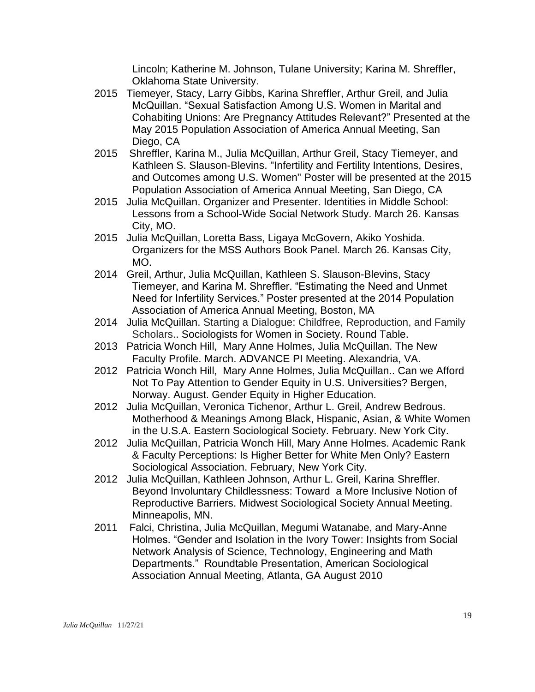Lincoln; Katherine M. Johnson, Tulane University; Karina M. Shreffler, Oklahoma State University.

- 2015Tiemeyer, Stacy, Larry Gibbs, Karina Shreffler, Arthur Greil, and Julia McQuillan. "Sexual Satisfaction Among U.S. Women in Marital and Cohabiting Unions: Are Pregnancy Attitudes Relevant?" Presented at the May 2015 Population Association of America Annual Meeting, San Diego, CA
- 2015 Shreffler, Karina M., Julia McQuillan, Arthur Greil, Stacy Tiemeyer, and Kathleen S. Slauson-Blevins. "Infertility and Fertility Intentions, Desires, and Outcomes among U.S. Women" Poster will be presented at the 2015 Population Association of America Annual Meeting, San Diego, CA
- 2015 Julia McQuillan. Organizer and Presenter. Identities in Middle School: Lessons from a School-Wide Social Network Study. March 26. Kansas City, MO.
- 2015 Julia McQuillan, Loretta Bass, Ligaya McGovern, Akiko Yoshida. Organizers for the MSS Authors Book Panel. March 26. Kansas City, MO.
- 2014 Greil, Arthur, Julia McQuillan, Kathleen S. Slauson-Blevins, Stacy Tiemeyer, and Karina M. Shreffler. "Estimating the Need and Unmet Need for Infertility Services." Poster presented at the 2014 Population Association of America Annual Meeting, Boston, MA
- 2014 Julia McQuillan. Starting a Dialogue: Childfree, Reproduction, and Family Scholars.. Sociologists for Women in Society. Round Table.
- 2013Patricia Wonch Hill, Mary Anne Holmes, Julia McQuillan. The New Faculty Profile. March. ADVANCE PI Meeting. Alexandria, VA.
- 2012 Patricia Wonch Hill, Mary Anne Holmes, Julia McQuillan.. Can we Afford Not To Pay Attention to Gender Equity in U.S. Universities? Bergen, Norway. August. Gender Equity in Higher Education.
- 2012 Julia McQuillan, Veronica Tichenor, Arthur L. Greil, Andrew Bedrous. Motherhood & Meanings Among Black, Hispanic, Asian, & White Women in the U.S.A. Eastern Sociological Society. February. New York City.
- 2012 Julia McQuillan, Patricia Wonch Hill, Mary Anne Holmes. Academic Rank & Faculty Perceptions: Is Higher Better for White Men Only? Eastern Sociological Association. February, New York City.
- 2012 Julia McQuillan, Kathleen Johnson, Arthur L. Greil, Karina Shreffler. Beyond Involuntary Childlessness: Toward a More Inclusive Notion of Reproductive Barriers. Midwest Sociological Society Annual Meeting. Minneapolis, MN.
- 2011 Falci, Christina, Julia McQuillan, Megumi Watanabe, and Mary-Anne Holmes. "Gender and Isolation in the Ivory Tower: Insights from Social Network Analysis of Science, Technology, Engineering and Math Departments." Roundtable Presentation, American Sociological Association Annual Meeting, Atlanta, GA August 2010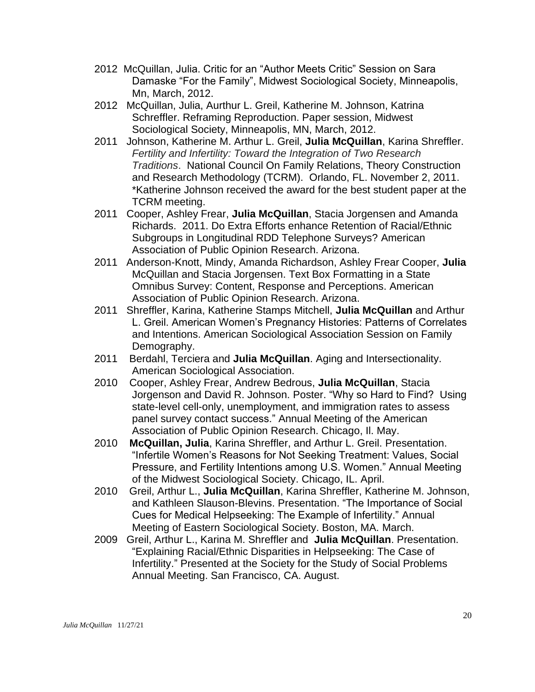- 2012 McQuillan, Julia. Critic for an "Author Meets Critic" Session on Sara Damaske "For the Family", Midwest Sociological Society, Minneapolis, Mn, March, 2012.
- 2012 McQuillan, Julia, Aurthur L. Greil, Katherine M. Johnson, Katrina Schreffler. Reframing Reproduction. Paper session, Midwest Sociological Society, Minneapolis, MN, March, 2012.
- 2011 Johnson, Katherine M. Arthur L. Greil, **Julia McQuillan**, Karina Shreffler. *Fertility and Infertility: Toward the Integration of Two Research Traditions*. National Council On Family Relations, Theory Construction and Research Methodology (TCRM). Orlando, FL. November 2, 2011. \*Katherine Johnson received the award for the best student paper at the TCRM meeting.
- 2011 Cooper, Ashley Frear, **Julia McQuillan**, Stacia Jorgensen and Amanda Richards. 2011. Do Extra Efforts enhance Retention of Racial/Ethnic Subgroups in Longitudinal RDD Telephone Surveys? American Association of Public Opinion Research. Arizona.
- 2011 Anderson-Knott, Mindy, Amanda Richardson, Ashley Frear Cooper, **Julia** McQuillan and Stacia Jorgensen. Text Box Formatting in a State Omnibus Survey: Content, Response and Perceptions. American Association of Public Opinion Research. Arizona.
- 2011 Shreffler, Karina, Katherine Stamps Mitchell, **Julia McQuillan** and Arthur L. Greil. American Women's Pregnancy Histories: Patterns of Correlates and Intentions. American Sociological Association Session on Family Demography.
- 2011 Berdahl, Terciera and **Julia McQuillan**. Aging and Intersectionality. American Sociological Association.
- 2010 Cooper, Ashley Frear, Andrew Bedrous, **Julia McQuillan**, Stacia Jorgenson and David R. Johnson. Poster. "Why so Hard to Find? Using state-level cell-only, unemployment, and immigration rates to assess panel survey contact success." Annual Meeting of the American Association of Public Opinion Research. Chicago, Il. May.
- 2010 **McQuillan, Julia**, Karina Shreffler, and Arthur L. Greil. Presentation. "Infertile Women's Reasons for Not Seeking Treatment: Values, Social Pressure, and Fertility Intentions among U.S. Women." Annual Meeting of the Midwest Sociological Society. Chicago, IL. April.
- 2010 Greil, Arthur L., **Julia McQuillan**, Karina Shreffler, Katherine M. Johnson, and Kathleen Slauson-Blevins. Presentation. "The Importance of Social Cues for Medical Helpseeking: The Example of Infertility." Annual Meeting of Eastern Sociological Society. Boston, MA. March.
- 2009 Greil, Arthur L., Karina M. Shreffler and **Julia McQuillan**. Presentation. "Explaining Racial/Ethnic Disparities in Helpseeking: The Case of Infertility." Presented at the Society for the Study of Social Problems Annual Meeting. San Francisco, CA. August.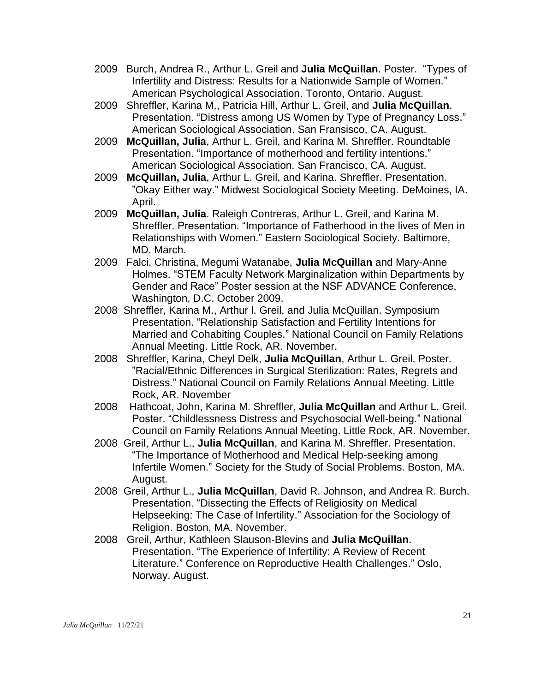- 2009 Burch, Andrea R., Arthur L. Greil and **Julia McQuillan**. Poster. "Types of Infertility and Distress: Results for a Nationwide Sample of Women." American Psychological Association. Toronto, Ontario. August.
- 2009 Shreffler, Karina M., Patricia Hill, Arthur L. Greil, and **Julia McQuillan**. Presentation. "Distress among US Women by Type of Pregnancy Loss." American Sociological Association. San Fransisco, CA. August.
- 2009 **McQuillan, Julia**, Arthur L. Greil, and Karina M. Shreffler. Roundtable Presentation. "Importance of motherhood and fertility intentions." American Sociological Association. San Francisco, CA. August.
- 2009 **McQuillan, Julia**, Arthur L. Greil, and Karina. Shreffler. Presentation. "Okay Either way." Midwest Sociological Society Meeting. DeMoines, IA. April.
- 2009 **McQuillan, Julia**. Raleigh Contreras, Arthur L. Greil, and Karina M. Shreffler. Presentation. "Importance of Fatherhood in the lives of Men in Relationships with Women." Eastern Sociological Society. Baltimore, MD. March.
- 2009 Falci, Christina, Megumi Watanabe, **Julia McQuillan** and Mary-Anne Holmes. "STEM Faculty Network Marginalization within Departments by Gender and Race" Poster session at the NSF ADVANCE Conference, Washington, D.C. October 2009.
- 2008 Shreffler, Karina M., Arthur l. Greil, and Julia McQuillan. Symposium Presentation. "Relationship Satisfaction and Fertility Intentions for Married and Cohabiting Couples." National Council on Family Relations Annual Meeting. Little Rock, AR. November.
- 2008 Shreffler, Karina, Cheyl Delk, **Julia McQuillan**, Arthur L. Greil. Poster. "Racial/Ethnic Differences in Surgical Sterilization: Rates, Regrets and Distress." National Council on Family Relations Annual Meeting. Little Rock, AR. November
- 2008 Hathcoat, John, Karina M. Shreffler, **Julia McQuillan** and Arthur L. Greil. Poster. "Childlessness Distress and Psychosocial Well-being." National Council on Family Relations Annual Meeting. Little Rock, AR. November.
- 2008 Greil, Arthur L., **Julia McQuillan**, and Karina M. Shreffler. Presentation. "The Importance of Motherhood and Medical Help-seeking among Infertile Women." Society for the Study of Social Problems. Boston, MA. August.
- 2008 Greil, Arthur L., **Julia McQuillan**, David R. Johnson, and Andrea R. Burch. Presentation. "Dissecting the Effects of Religiosity on Medical Helpseeking: The Case of Infertility." Association for the Sociology of Religion. Boston, MA. November.
- 2008 Greil, Arthur, Kathleen Slauson-Blevins and **Julia McQuillan**. Presentation. "The Experience of Infertility: A Review of Recent Literature." Conference on Reproductive Health Challenges." Oslo, Norway. August.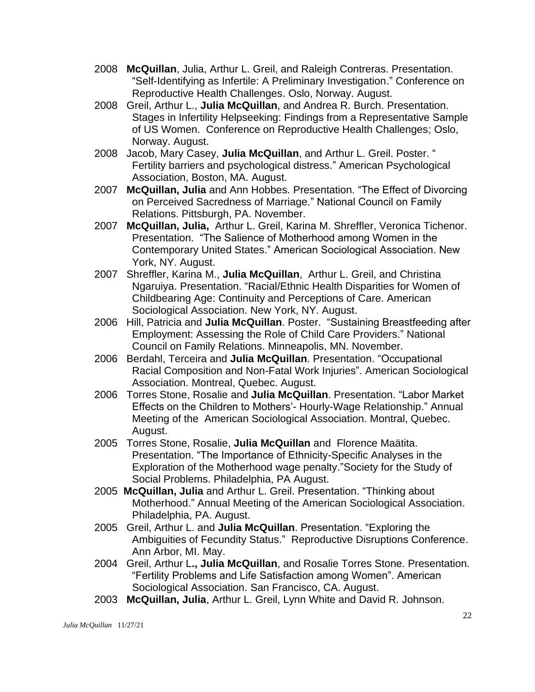- 2008 **McQuillan**, Julia, Arthur L. Greil, and Raleigh Contreras. Presentation. "Self-Identifying as Infertile: A Preliminary Investigation." Conference on Reproductive Health Challenges. Oslo, Norway. August.
- 2008 Greil, Arthur L., **Julia McQuillan**, and Andrea R. Burch. Presentation. Stages in Infertility Helpseeking: Findings from a Representative Sample of US Women. Conference on Reproductive Health Challenges; Oslo, Norway. August.
- 2008 Jacob, Mary Casey, **Julia McQuillan**, and Arthur L. Greil. Poster. " Fertility barriers and psychological distress." American Psychological Association, Boston, MA. August.
- 2007 **McQuillan, Julia** and Ann Hobbes. Presentation. "The Effect of Divorcing on Perceived Sacredness of Marriage." National Council on Family Relations. Pittsburgh, PA. November.
- 2007 **McQuillan, Julia,** Arthur L. Greil, Karina M. Shreffler, Veronica Tichenor. Presentation. "The Salience of Motherhood among Women in the Contemporary United States." American Sociological Association. New York, NY. August.
- 2007 Shreffler, Karina M., **Julia McQuillan**, Arthur L. Greil, and Christina Ngaruiya. Presentation. "Racial/Ethnic Health Disparities for Women of Childbearing Age: Continuity and Perceptions of Care. American Sociological Association. New York, NY. August.
- 2006 Hill, Patricia and **Julia McQuillan**. Poster. "Sustaining Breastfeeding after Employment: Assessing the Role of Child Care Providers." National Council on Family Relations. Minneapolis, MN. November.
- 2006 Berdahl, Terceira and **Julia McQuillan**. Presentation. "Occupational Racial Composition and Non-Fatal Work Injuries". American Sociological Association. Montreal, Quebec. August.
- 2006 Torres Stone, Rosalie and **Julia McQuillan**. Presentation. "Labor Market Effects on the Children to Mothers'- Hourly-Wage Relationship." Annual Meeting of the American Sociological Association. Montral, Quebec. August.
- 2005 Torres Stone, Rosalie, **Julia McQuillan** and Florence Maätita. Presentation. "The Importance of Ethnicity-Specific Analyses in the Exploration of the Motherhood wage penalty."Society for the Study of Social Problems. Philadelphia, PA August.
- 2005 **McQuillan, Julia** and Arthur L. Greil. Presentation. "Thinking about Motherhood." Annual Meeting of the American Sociological Association. Philadelphia, PA. August.
- 2005 Greil, Arthur L. and **Julia McQuillan**. Presentation. "Exploring the Ambiguities of Fecundity Status." Reproductive Disruptions Conference. Ann Arbor, MI. May.
- 2004 Greil, Arthur L**., Julia McQuillan**, and Rosalie Torres Stone. Presentation. "Fertility Problems and Life Satisfaction among Women". American Sociological Association. San Francisco, CA. August.
- 2003 **McQuillan, Julia**, Arthur L. Greil, Lynn White and David R. Johnson.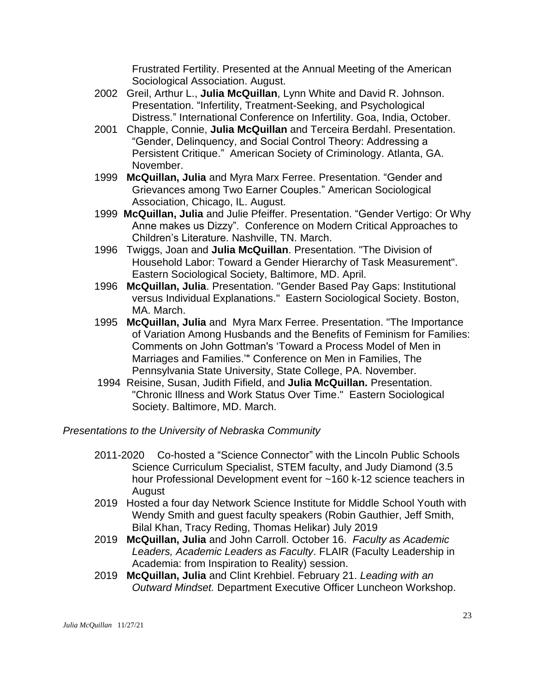Frustrated Fertility. Presented at the Annual Meeting of the American Sociological Association. August.

- 2002 Greil, Arthur L., **Julia McQuillan**, Lynn White and David R. Johnson. Presentation. "Infertility, Treatment-Seeking, and Psychological Distress." International Conference on Infertility. Goa, India, October.
- 2001 Chapple, Connie, **Julia McQuillan** and Terceira Berdahl. Presentation. "Gender, Delinquency, and Social Control Theory: Addressing a Persistent Critique." American Society of Criminology. Atlanta, GA. November.
- 1999 **McQuillan, Julia** and Myra Marx Ferree. Presentation. "Gender and Grievances among Two Earner Couples." American Sociological Association, Chicago, IL. August.
- 1999 **McQuillan, Julia** and Julie Pfeiffer. Presentation. "Gender Vertigo: Or Why Anne makes us Dizzy". Conference on Modern Critical Approaches to Children's Literature. Nashville, TN. March.
- 1996 Twiggs, Joan and **Julia McQuillan**. Presentation. "The Division of Household Labor: Toward a Gender Hierarchy of Task Measurement". Eastern Sociological Society, Baltimore, MD. April.
- 1996 **McQuillan, Julia**. Presentation. "Gender Based Pay Gaps: Institutional versus Individual Explanations." Eastern Sociological Society. Boston, MA. March.
- 1995 **McQuillan, Julia** and Myra Marx Ferree. Presentation. "The Importance of Variation Among Husbands and the Benefits of Feminism for Families: Comments on John Gottman's 'Toward a Process Model of Men in Marriages and Families.'" Conference on Men in Families, The Pennsylvania State University, State College, PA. November.
- 1994 Reisine, Susan, Judith Fifield, and **Julia McQuillan.** Presentation. "Chronic Illness and Work Status Over Time." Eastern Sociological Society. Baltimore, MD. March.

*Presentations to the University of Nebraska Community*

- 2011-2020 Co-hosted a "Science Connector" with the Lincoln Public Schools Science Curriculum Specialist, STEM faculty, and Judy Diamond (3.5 hour Professional Development event for ~160 k-12 science teachers in August
- 2019 Hosted a four day Network Science Institute for Middle School Youth with Wendy Smith and guest faculty speakers (Robin Gauthier, Jeff Smith, Bilal Khan, Tracy Reding, Thomas Helikar) July 2019
- 2019 **McQuillan, Julia** and John Carroll. October 16. *Faculty as Academic Leaders, Academic Leaders as Faculty*. FLAIR (Faculty Leadership in Academia: from Inspiration to Reality) session.
- 2019 **McQuillan, Julia** and Clint Krehbiel. February 21. *Leading with an Outward Mindset.* Department Executive Officer Luncheon Workshop.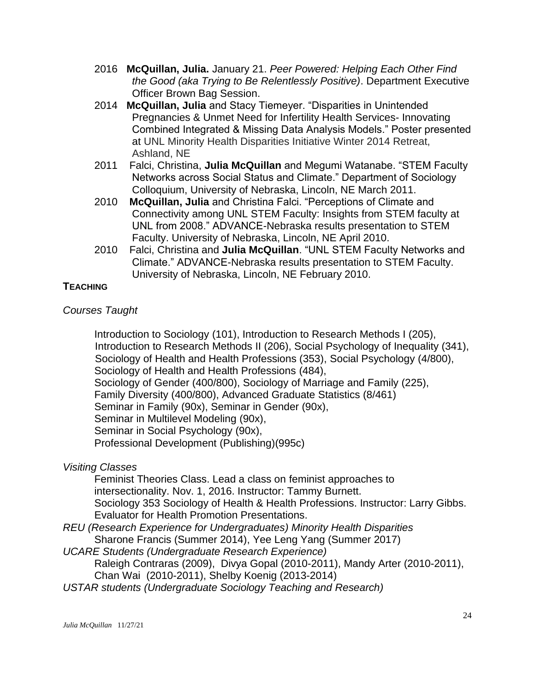- 2016 **McQuillan, Julia.** January 21. *Peer Powered: Helping Each Other Find the Good (aka Trying to Be Relentlessly Positive)*. Department Executive Officer Brown Bag Session.
- 2014 **McQuillan, Julia** and Stacy Tiemeyer. "Disparities in Unintended Pregnancies & Unmet Need for Infertility Health Services- Innovating Combined Integrated & Missing Data Analysis Models." Poster presented at UNL Minority Health Disparities Initiative Winter 2014 Retreat, Ashland, NE
- 2011 Falci, Christina, **Julia McQuillan** and Megumi Watanabe. "STEM Faculty Networks across Social Status and Climate." Department of Sociology Colloquium, University of Nebraska, Lincoln, NE March 2011.
- 2010 **McQuillan, Julia** and Christina Falci. "Perceptions of Climate and Connectivity among UNL STEM Faculty: Insights from STEM faculty at UNL from 2008." ADVANCE-Nebraska results presentation to STEM Faculty. University of Nebraska, Lincoln, NE April 2010.
- 2010 Falci, Christina and **Julia McQuillan**. "UNL STEM Faculty Networks and Climate." ADVANCE-Nebraska results presentation to STEM Faculty. University of Nebraska, Lincoln, NE February 2010.

## **TEACHING**

# *Courses Taught*

Introduction to Sociology (101), Introduction to Research Methods I (205), Introduction to Research Methods II (206), Social Psychology of Inequality (341), Sociology of Health and Health Professions (353), Social Psychology (4/800), Sociology of Health and Health Professions (484), Sociology of Gender (400/800), Sociology of Marriage and Family (225), Family Diversity (400/800), Advanced Graduate Statistics (8/461) Seminar in Family (90x), Seminar in Gender (90x), Seminar in Multilevel Modeling (90x), Seminar in Social Psychology (90x), Professional Development (Publishing)(995c)

## *Visiting Classes*

Feminist Theories Class. Lead a class on feminist approaches to intersectionality. Nov. 1, 2016. Instructor: Tammy Burnett. Sociology 353 Sociology of Health & Health Professions. Instructor: Larry Gibbs. Evaluator for Health Promotion Presentations.

*REU (Research Experience for Undergraduates) Minority Health Disparities*

Sharone Francis (Summer 2014), Yee Leng Yang (Summer 2017)

*UCARE Students (Undergraduate Research Experience)*

Raleigh Contraras (2009), Divya Gopal (2010-2011), Mandy Arter (2010-2011), Chan Wai (2010-2011), Shelby Koenig (2013-2014)

*USTAR students (Undergraduate Sociology Teaching and Research)*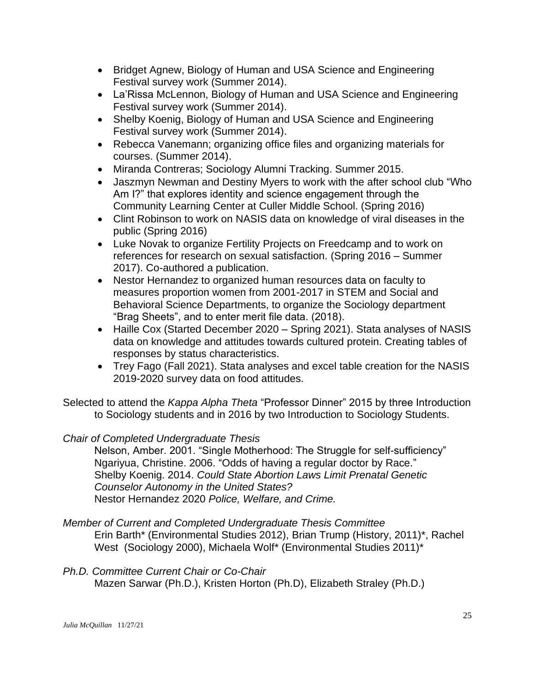- Bridget Agnew, Biology of Human and USA Science and Engineering Festival survey work (Summer 2014).
- La'Rissa McLennon, Biology of Human and USA Science and Engineering Festival survey work (Summer 2014).
- Shelby Koenig, Biology of Human and USA Science and Engineering Festival survey work (Summer 2014).
- Rebecca Vanemann; organizing office files and organizing materials for courses. (Summer 2014).
- Miranda Contreras; Sociology Alumni Tracking. Summer 2015.
- Jaszmyn Newman and Destiny Myers to work with the after school club "Who Am I?" that explores identity and science engagement through the Community Learning Center at Culler Middle School. (Spring 2016)
- Clint Robinson to work on NASIS data on knowledge of viral diseases in the public (Spring 2016)
- Luke Novak to organize Fertility Projects on Freedcamp and to work on references for research on sexual satisfaction. (Spring 2016 – Summer 2017). Co-authored a publication.
- Nestor Hernandez to organized human resources data on faculty to measures proportion women from 2001-2017 in STEM and Social and Behavioral Science Departments, to organize the Sociology department "Brag Sheets", and to enter merit file data. (2018).
- Haille Cox (Started December 2020 Spring 2021). Stata analyses of NASIS data on knowledge and attitudes towards cultured protein. Creating tables of responses by status characteristics.
- Trey Fago (Fall 2021). Stata analyses and excel table creation for the NASIS 2019-2020 survey data on food attitudes.

Selected to attend the *Kappa Alpha Theta* "Professor Dinner" 2015 by three Introduction to Sociology students and in 2016 by two Introduction to Sociology Students.

# *Chair of Completed Undergraduate Thesis*

Nelson, Amber. 2001. "Single Motherhood: The Struggle for self-sufficiency" Ngariyua, Christine. 2006. "Odds of having a regular doctor by Race." Shelby Koenig. 2014. *Could State Abortion Laws Limit Prenatal Genetic Counselor Autonomy in the United States?* Nestor Hernandez 2020 *Police, Welfare, and Crime.*

*Member of Current and Completed Undergraduate Thesis Committee*

Erin Barth\* (Environmental Studies 2012), Brian Trump (History, 2011)\*, Rachel West (Sociology 2000), Michaela Wolf\* (Environmental Studies 2011)\*

## *Ph.D. Committee Current Chair or Co-Chair*

Mazen Sarwar (Ph.D.), Kristen Horton (Ph.D), Elizabeth Straley (Ph.D.)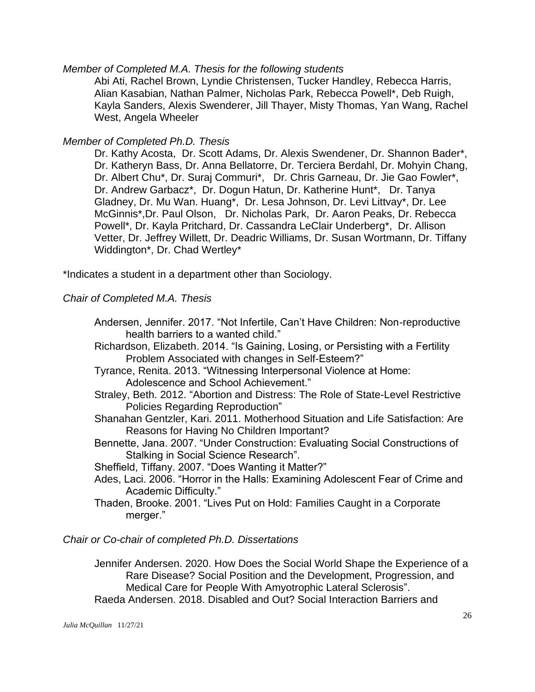#### *Member of Completed M.A. Thesis for the following students*

Abi Ati, Rachel Brown, Lyndie Christensen, Tucker Handley, Rebecca Harris, Alian Kasabian, Nathan Palmer, Nicholas Park, Rebecca Powell\*, Deb Ruigh, Kayla Sanders, Alexis Swenderer, Jill Thayer, Misty Thomas, Yan Wang, Rachel West, Angela Wheeler

#### *Member of Completed Ph.D. Thesis*

Dr. Kathy Acosta, Dr. Scott Adams, Dr. Alexis Swendener, Dr. Shannon Bader\*, Dr. Katheryn Bass, Dr. Anna Bellatorre, Dr. Terciera Berdahl, Dr. Mohyin Chang, Dr. Albert Chu\*, Dr. Suraj Commuri\*, Dr. Chris Garneau, Dr. Jie Gao Fowler\*, Dr. Andrew Garbacz\*, Dr. Dogun Hatun, Dr. Katherine Hunt\*, Dr. Tanya Gladney, Dr. Mu Wan. Huang\*, Dr. Lesa Johnson, Dr. Levi Littvay\*, Dr. Lee McGinnis\*,Dr. Paul Olson, Dr. Nicholas Park, Dr. Aaron Peaks, Dr. Rebecca Powell\*, Dr. Kayla Pritchard, Dr. Cassandra LeClair Underberg\*, Dr. Allison Vetter, Dr. Jeffrey Willett, Dr. Deadric Williams, Dr. Susan Wortmann, Dr. Tiffany Widdington\*, Dr. Chad Wertley\*

\*Indicates a student in a department other than Sociology.

#### *Chair of Completed M.A. Thesis*

- Andersen, Jennifer. 2017. "Not Infertile, Can't Have Children: Non-reproductive health barriers to a wanted child."
- Richardson, Elizabeth. 2014. "Is Gaining, Losing, or Persisting with a Fertility Problem Associated with changes in Self-Esteem?"
- Tyrance, Renita. 2013. "Witnessing Interpersonal Violence at Home: Adolescence and School Achievement."
- Straley, Beth. 2012. "Abortion and Distress: The Role of [State-Level](http://digitalcommons.unl.edu/sociologydiss/20) Restrictive Policies Regarding [Reproduction"](http://digitalcommons.unl.edu/sociologydiss/20)
- Shanahan Gentzler, Kari. 2011. [Motherhood](http://digitalcommons.unl.edu/sociologydiss/11) Situation and Life Satisfaction: Are Reasons for Having No Children [Important?](http://digitalcommons.unl.edu/sociologydiss/11)
- Bennette, Jana. 2007. "Under Construction: Evaluating Social Constructions of Stalking in Social Science Research".
- Sheffield, Tiffany. 2007. "Does Wanting it Matter?"
- Ades, Laci. 2006. "Horror in the Halls: Examining Adolescent Fear of Crime and Academic Difficulty."
- Thaden, Brooke. 2001. "Lives Put on Hold: Families Caught in a Corporate merger."

#### *Chair or Co-chair of completed Ph.D. Dissertations*

Jennifer Andersen. 2020. [How Does the Social World Shape the Experience of a](https://digitalcommons.unl.edu/cgi/viewcontent.cgi?article=1063&context=sociologydiss)  [Rare Disease? Social Position and the Development, Progression, and](https://digitalcommons.unl.edu/cgi/viewcontent.cgi?article=1063&context=sociologydiss)  [Medical Care for People With Amyotrophic Lateral Sclerosis"](https://digitalcommons.unl.edu/cgi/viewcontent.cgi?article=1063&context=sociologydiss). Raeda Andersen. 2018. Disabled and Out? Social Interaction Barriers and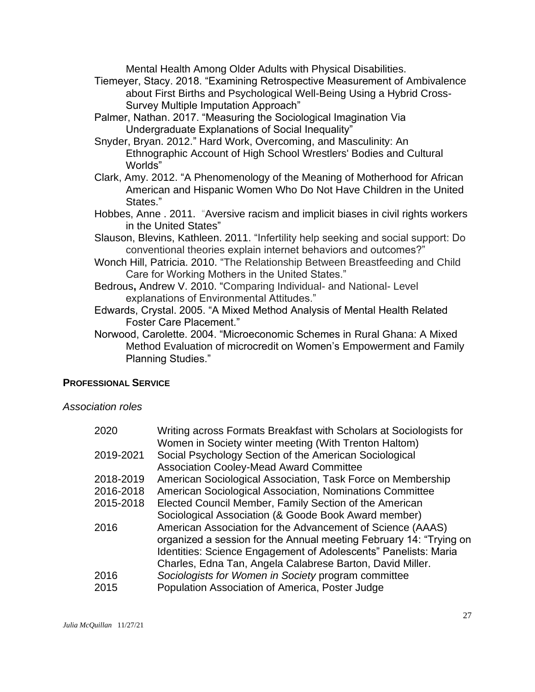Mental Health Among Older Adults with Physical Disabilities.

- Tiemeyer, Stacy. 2018. "Examining Retrospective Measurement of Ambivalence about First Births and Psychological Well-Being Using a Hybrid Cross-Survey Multiple Imputation Approach"
- Palmer, Nathan. 2017. "Measuring the Sociological Imagination Via Undergraduate Explanations of Social Inequality"
- Snyder, Bryan. 2012." Hard Work, [Overcoming,](http://digitalcommons.unl.edu/sociologydiss/19) and Masculinity: An [Ethnographic](http://digitalcommons.unl.edu/sociologydiss/19) Account of High School Wrestlers' Bodies and Cultural [Wo](http://digitalcommons.unl.edu/sociologydiss/19)rlds"
- Clark, Amy. 2012. "A [Phenomenology](http://digitalcommons.unl.edu/cgi/viewcontent.cgi?article=1017&context=sociologydiss) of the Meaning of Motherhood for African [American](http://digitalcommons.unl.edu/cgi/viewcontent.cgi?article=1017&context=sociologydiss) and Hispanic Women Who Do Not Have Children in the United [Sta](http://digitalcommons.unl.edu/cgi/viewcontent.cgi?article=1017&context=sociologydiss)tes."
- Hobbes, Anne . 2011. ["Aversive](http://digitalcommons.unl.edu/dissertations/AAI3449976) racism and implicit biases in civil rights workers in the United [States"](http://digitalcommons.unl.edu/dissertations/AAI3449976)
- Slauson, Blevins, Kathleen. 2011. "Infertility help seeking and social support: Do conventional theories explain internet behaviors and outcomes?"
- Wonch Hill, Patricia. 2010. "The Relationship Between Breastfeeding and Child Care for Working Mothers in the United States."
- Bedrous**,** Andrew V. 2010. "Comparing Individual- and National- Level explanations of Environmental Attitudes."
- Edwards, Crystal. 2005. "A Mixed Method Analysis of Mental Health Related Foster Care Placement."
- Norwood, Carolette. 2004. "Microeconomic Schemes in Rural Ghana: A Mixed Method Evaluation of microcredit on Women's Empowerment and Family Planning Studies."

## **PROFESSIONAL SERVICE**

*Association roles*

| 2020      | Writing across Formats Breakfast with Scholars at Sociologists for |
|-----------|--------------------------------------------------------------------|
|           | Women in Society winter meeting (With Trenton Haltom)              |
| 2019-2021 | Social Psychology Section of the American Sociological             |
|           | <b>Association Cooley-Mead Award Committee</b>                     |
| 2018-2019 | American Sociological Association, Task Force on Membership        |
| 2016-2018 | American Sociological Association, Nominations Committee           |
| 2015-2018 | Elected Council Member, Family Section of the American             |
|           | Sociological Association (& Goode Book Award member)               |
| 2016      | American Association for the Advancement of Science (AAAS)         |
|           | organized a session for the Annual meeting February 14: "Trying on |
|           | Identities: Science Engagement of Adolescents" Panelists: Maria    |
|           | Charles, Edna Tan, Angela Calabrese Barton, David Miller.          |
| 2016      | Sociologists for Women in Society program committee                |
| 2015      | Population Association of America, Poster Judge                    |
|           |                                                                    |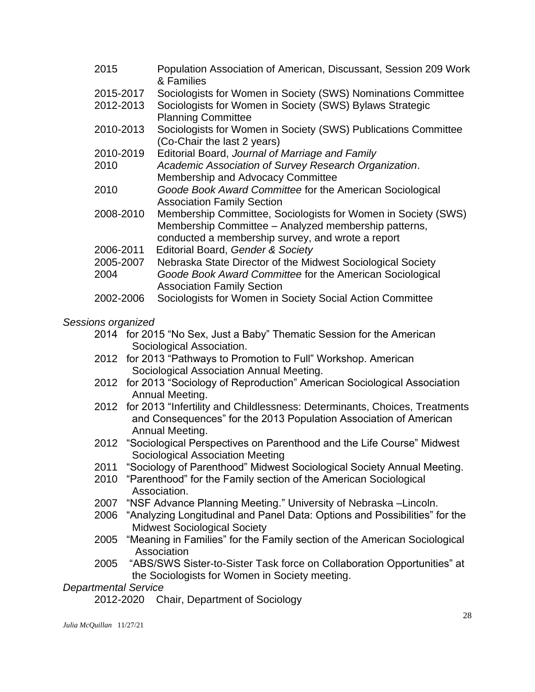| 2015      | Population Association of American, Discussant, Session 209 Work<br>& Families                |
|-----------|-----------------------------------------------------------------------------------------------|
| 2015-2017 | Sociologists for Women in Society (SWS) Nominations Committee                                 |
| 2012-2013 | Sociologists for Women in Society (SWS) Bylaws Strategic                                      |
|           | <b>Planning Committee</b>                                                                     |
| 2010-2013 | Sociologists for Women in Society (SWS) Publications Committee<br>(Co-Chair the last 2 years) |
| 2010-2019 | Editorial Board, Journal of Marriage and Family                                               |
| 2010      | Academic Association of Survey Research Organization.                                         |
|           | Membership and Advocacy Committee                                                             |
| 2010      | Goode Book Award Committee for the American Sociological                                      |
|           | <b>Association Family Section</b>                                                             |
| 2008-2010 | Membership Committee, Sociologists for Women in Society (SWS)                                 |
|           | Membership Committee - Analyzed membership patterns,                                          |
|           | conducted a membership survey, and wrote a report                                             |
| 2006-2011 | Editorial Board, Gender & Society                                                             |
| 2005-2007 | Nebraska State Director of the Midwest Sociological Society                                   |
| 2004      | Goode Book Award Committee for the American Sociological                                      |
|           | <b>Association Family Section</b>                                                             |
| 2002-2006 | Sociologists for Women in Society Social Action Committee                                     |

#### *Sessions organized*

- 2014 for 2015 "No Sex, Just a Baby" Thematic Session for the American Sociological Association.
- 2012 for 2013 "Pathways to Promotion to Full" Workshop. American Sociological Association Annual Meeting.
- 2012 for 2013 "Sociology of Reproduction" American Sociological Association Annual Meeting.
- 2012 for 2013 "Infertility and Childlessness: Determinants, Choices, Treatments and Consequences" for the 2013 Population Association of American Annual Meeting.
- 2012 "Sociological Perspectives on Parenthood and the Life Course" Midwest Sociological Association Meeting
- 2011 "Sociology of Parenthood" Midwest Sociological Society Annual Meeting.
- 2010 "Parenthood" for the Family section of the American Sociological Association.
- 2007 "NSF Advance Planning Meeting." University of Nebraska –Lincoln.
- 2006 "Analyzing Longitudinal and Panel Data: Options and Possibilities" for the Midwest Sociological Society
- 2005 "Meaning in Families" for the Family section of the American Sociological Association
- 2005 "ABS/SWS Sister-to-Sister Task force on Collaboration Opportunities" at the Sociologists for Women in Society meeting.

## *Departmental Service*

2012-2020 Chair, Department of Sociology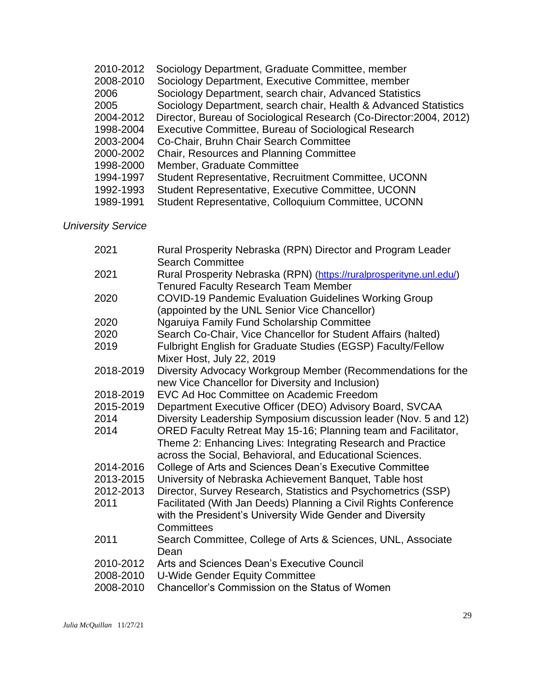| 2010-2012 | Sociology Department, Graduate Committee, member                    |
|-----------|---------------------------------------------------------------------|
| 2008-2010 | Sociology Department, Executive Committee, member                   |
| 2006      | Sociology Department, search chair, Advanced Statistics             |
| 2005      | Sociology Department, search chair, Health & Advanced Statistics    |
| 2004-2012 | Director, Bureau of Sociological Research (Co-Director: 2004, 2012) |
| 1998-2004 | Executive Committee, Bureau of Sociological Research                |
| 2003-2004 | Co-Chair, Bruhn Chair Search Committee                              |
| 2000-2002 | Chair, Resources and Planning Committee                             |
| 1998-2000 | Member, Graduate Committee                                          |
| 1994-1997 | Student Representative, Recruitment Committee, UCONN                |
| 1992-1993 | Student Representative, Executive Committee, UCONN                  |
| 1989-1991 | Student Representative, Colloquium Committee, UCONN                 |

*University Service*

| 2021      | Rural Prosperity Nebraska (RPN) Director and Program Leader<br><b>Search Committee</b>                                                     |
|-----------|--------------------------------------------------------------------------------------------------------------------------------------------|
| 2021      | Rural Prosperity Nebraska (RPN) (https://ruralprosperityne.unl.edu/)                                                                       |
| 2020      | <b>Tenured Faculty Research Team Member</b><br><b>COVID-19 Pandemic Evaluation Guidelines Working Group</b>                                |
|           | (appointed by the UNL Senior Vice Chancellor)                                                                                              |
| 2020      | Ngaruiya Family Fund Scholarship Committee                                                                                                 |
| 2020      | Search Co-Chair, Vice Chancellor for Student Affairs (halted)                                                                              |
| 2019      | Fulbright English for Graduate Studies (EGSP) Faculty/Fellow<br>Mixer Host, July 22, 2019                                                  |
| 2018-2019 | Diversity Advocacy Workgroup Member (Recommendations for the<br>new Vice Chancellor for Diversity and Inclusion)                           |
| 2018-2019 | EVC Ad Hoc Committee on Academic Freedom                                                                                                   |
| 2015-2019 | Department Executive Officer (DEO) Advisory Board, SVCAA                                                                                   |
| 2014      | Diversity Leadership Symposium discussion leader (Nov. 5 and 12)                                                                           |
| 2014      | ORED Faculty Retreat May 15-16; Planning team and Facilitator,                                                                             |
|           | Theme 2: Enhancing Lives: Integrating Research and Practice<br>across the Social, Behavioral, and Educational Sciences.                    |
| 2014-2016 | College of Arts and Sciences Dean's Executive Committee                                                                                    |
| 2013-2015 | University of Nebraska Achievement Banquet, Table host                                                                                     |
| 2012-2013 | Director, Survey Research, Statistics and Psychometrics (SSP)                                                                              |
| 2011      | Facilitated (With Jan Deeds) Planning a Civil Rights Conference<br>with the President's University Wide Gender and Diversity<br>Committees |
| 2011      | Search Committee, College of Arts & Sciences, UNL, Associate<br>Dean                                                                       |
| 2010-2012 | Arts and Sciences Dean's Executive Council                                                                                                 |
| 2008-2010 | <b>U-Wide Gender Equity Committee</b>                                                                                                      |
| 2008-2010 | Chancellor's Commission on the Status of Women                                                                                             |
|           |                                                                                                                                            |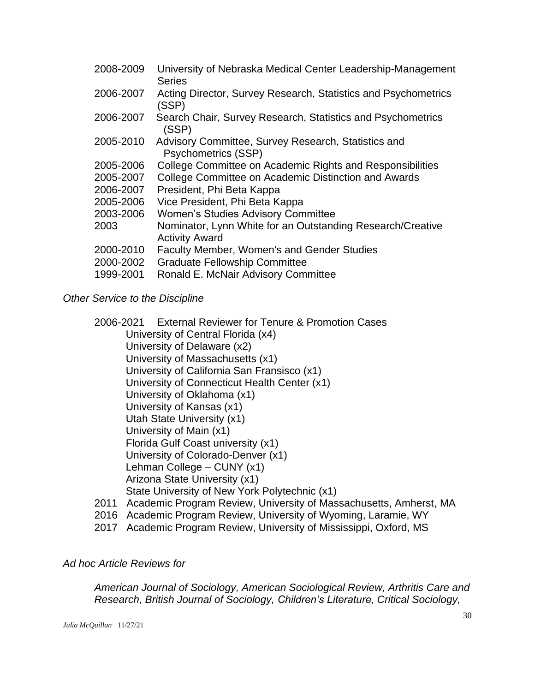| University of Nebraska Medical Center Leadership-Management<br><b>Series</b>        |
|-------------------------------------------------------------------------------------|
| Acting Director, Survey Research, Statistics and Psychometrics<br>(SSP)             |
| Search Chair, Survey Research, Statistics and Psychometrics<br>(SSP)                |
| Advisory Committee, Survey Research, Statistics and<br><b>Psychometrics (SSP)</b>   |
| College Committee on Academic Rights and Responsibilities                           |
| College Committee on Academic Distinction and Awards                                |
| President, Phi Beta Kappa                                                           |
| Vice President, Phi Beta Kappa                                                      |
| <b>Women's Studies Advisory Committee</b>                                           |
| Nominator, Lynn White for an Outstanding Research/Creative<br><b>Activity Award</b> |
| Faculty Member, Women's and Gender Studies                                          |
| <b>Graduate Fellowship Committee</b>                                                |
| Ronald E. McNair Advisory Committee                                                 |
|                                                                                     |

#### *Other Service to the Discipline*

2006-2021 External Reviewer for Tenure & Promotion Cases University of Central Florida (x4) University of Delaware (x2) University of Massachusetts (x1) University of California San Fransisco (x1) University of Connecticut Health Center (x1) University of Oklahoma (x1) University of Kansas (x1) Utah State University (x1) University of Main (x1) Florida Gulf Coast university (x1) University of Colorado-Denver (x1) Lehman College – CUNY (x1) Arizona State University (x1) State University of New York Polytechnic (x1) 2011 Academic Program Review, University of Massachusetts, Amherst, MA

- 2016 Academic Program Review, University of Wyoming, Laramie, WY
- 2017 Academic Program Review, University of Mississippi, Oxford, MS

## *Ad hoc Article Reviews for*

*American Journal of Sociology, American Sociological Review, Arthritis Care and Research, British Journal of Sociology, Children's Literature, Critical Sociology,*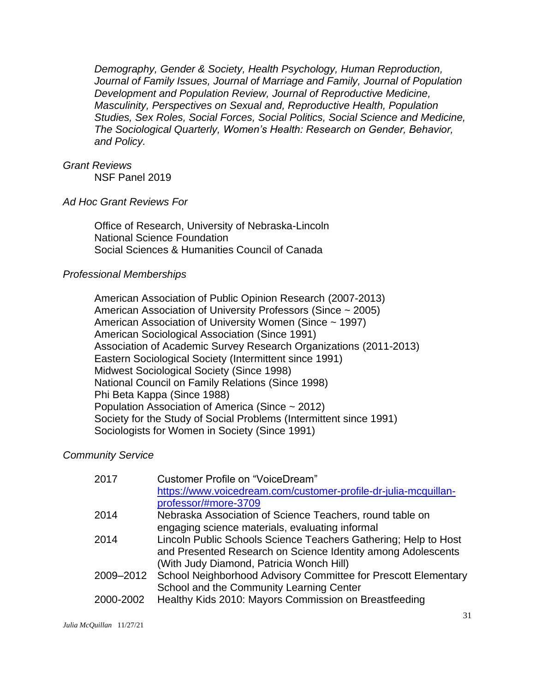*Demography, Gender & Society, Health Psychology, Human Reproduction, Journal of Family Issues, Journal of Marriage and Family, Journal of Population Development and Population Review, Journal of Reproductive Medicine, Masculinity, Perspectives on Sexual and, Reproductive Health, Population Studies, Sex Roles, Social Forces, Social Politics, Social Science and Medicine, The Sociological Quarterly, Women's Health: Research on Gender, Behavior, and Policy.*

#### *Grant Reviews*

NSF Panel 2019

#### *Ad Hoc Grant Reviews For*

Office of Research, University of Nebraska-Lincoln National Science Foundation Social Sciences & Humanities Council of Canada

#### *Professional Memberships*

American Association of Public Opinion Research (2007-2013) American Association of University Professors (Since ~ 2005) American Association of University Women (Since ~ 1997) American Sociological Association (Since 1991) Association of Academic Survey Research Organizations (2011-2013) Eastern Sociological Society (Intermittent since 1991) Midwest Sociological Society (Since 1998) National Council on Family Relations (Since 1998) Phi Beta Kappa (Since 1988) Population Association of America (Since ~ 2012) Society for the Study of Social Problems (Intermittent since 1991) Sociologists for Women in Society (Since 1991)

#### *Community Service*

| 2017      | Customer Profile on "VoiceDream"                                |
|-----------|-----------------------------------------------------------------|
|           | https://www.voicedream.com/customer-profile-dr-julia-mcquillan- |
|           | professor/#more-3709                                            |
| 2014      | Nebraska Association of Science Teachers, round table on        |
|           | engaging science materials, evaluating informal                 |
| 2014      | Lincoln Public Schools Science Teachers Gathering; Help to Host |
|           | and Presented Research on Science Identity among Adolescents    |
|           | (With Judy Diamond, Patricia Wonch Hill)                        |
| 2009–2012 | School Neighborhood Advisory Committee for Prescott Elementary  |
|           | School and the Community Learning Center                        |
| 2000-2002 | Healthy Kids 2010: Mayors Commission on Breastfeeding           |
|           |                                                                 |